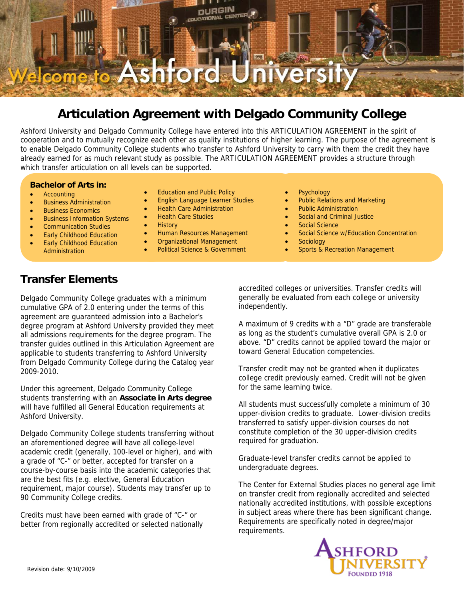

# **Articulation Agreement with Delgado Community College**

Ashford University and Delgado Community College have entered into this ARTICULATION AGREEMENT in the spirit of cooperation and to mutually recognize each other as quality institutions of higher learning. The purpose of the agreement is to enable Delgado Community College students who transfer to Ashford University to carry with them the credit they have already earned for as much relevant study as possible. The ARTICULATION AGREEMENT provides a structure through which transfer articulation on all levels can be supported.

## **Bachelor of Arts in:**

- **Accounting**
- Business Administration
- Business Economics
- **Business Information Systems**
- Communication Studies
- **Early Childhood Education** • Early Childhood Education Administration
- **Education and Public Policy**
- English Language Learner Studies
- Health Care Administration
- Health Care Studies
- History
- Human Resources Management
- Organizational Management
- Political Science & Government
- **Psychology**
- Public Relations and Marketing
- Public Administration
- Social and Criminal Justice
- Social Science
- Social Science w/Education Concentration
- **Sociology**
- Sports & Recreation Management

# **Transfer Elements**

Delgado Community College graduates with a minimum cumulative GPA of 2.0 entering under the terms of this agreement are guaranteed admission into a Bachelor's degree program at Ashford University provided they meet all admissions requirements for the degree program. The transfer guides outlined in this Articulation Agreement are applicable to students transferring to Ashford University from Delgado Community College during the Catalog year 2009-2010.

Under this agreement, Delgado Community College students transferring with an **Associate in Arts degree**  will have fulfilled all General Education requirements at Ashford University.

Delgado Community College students transferring without an aforementioned degree will have all college-level academic credit (generally, 100-level or higher), and with a grade of "C-" or better, accepted for transfer on a course-by-course basis into the academic categories that are the best fits (e.g. elective, General Education requirement, major course). Students may transfer up to 90 Community College credits.

Credits must have been earned with grade of "C-" or better from regionally accredited or selected nationally accredited colleges or universities. Transfer credits will generally be evaluated from each college or university independently.

A maximum of 9 credits with a "D" grade are transferable as long as the student's cumulative overall GPA is 2.0 or above. "D" credits cannot be applied toward the major or toward General Education competencies.

Transfer credit may not be granted when it duplicates college credit previously earned. Credit will not be given for the same learning twice.

All students must successfully complete a minimum of 30 upper-division credits to graduate. Lower-division credits transferred to satisfy upper-division courses do not constitute completion of the 30 upper-division credits required for graduation.

Graduate-level transfer credits cannot be applied to undergraduate degrees.

The Center for External Studies places no general age limit on transfer credit from regionally accredited and selected nationally accredited institutions, with possible exceptions in subject areas where there has been significant change. Requirements are specifically noted in degree/major requirements.

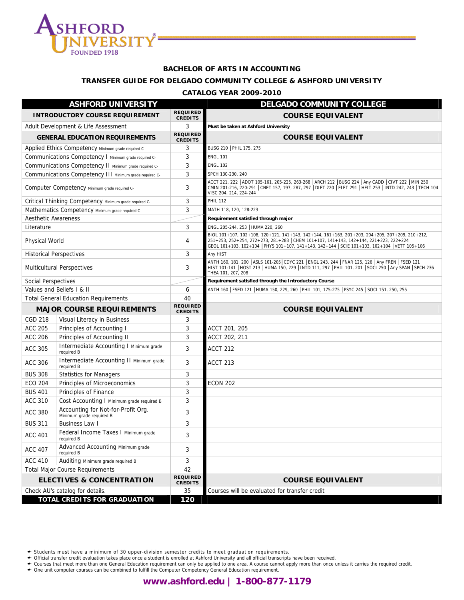

#### **BACHELOR OF ARTS IN ACCOUNTING**

## **TRANSFER GUIDE FOR DELGADO COMMUNITY COLLEGE & ASHFORD UNIVERSITY**

#### **CATALOG YEAR 2009-2010**

|                            | <b>ASHFORD UNIVERSITY</b>                                      |                                   | <b>DELGADO COMMUNITY COLLEGE</b>                                                                                                                                                                                                                                                       |
|----------------------------|----------------------------------------------------------------|-----------------------------------|----------------------------------------------------------------------------------------------------------------------------------------------------------------------------------------------------------------------------------------------------------------------------------------|
|                            | <b>INTRODUCTORY COURSE REQUIREMENT</b>                         | <b>REQUIRED</b><br><b>CREDITS</b> | <b>COURSE EQUIVALENT</b>                                                                                                                                                                                                                                                               |
|                            | Adult Development & Life Assessment                            | 3                                 | Must be taken at Ashford University                                                                                                                                                                                                                                                    |
|                            | <b>GENERAL EDUCATION REQUIREMENTS</b>                          | <b>REQUIRED</b><br><b>CREDITS</b> | <b>COURSE EQUIVALENT</b>                                                                                                                                                                                                                                                               |
|                            | Applied Ethics Competency Minimum grade required C-            | 3                                 | BUSG 210   PHIL 175, 275                                                                                                                                                                                                                                                               |
|                            | Communications Competency   Minimum grade required C-          | 3                                 | <b>ENGL 101</b>                                                                                                                                                                                                                                                                        |
|                            | Communications Competency II Minimum grade required C-         | 3                                 | <b>ENGL 102</b>                                                                                                                                                                                                                                                                        |
|                            | Communications Competency III Minimum grade required C-        | 3                                 | SPCH 130-230, 240                                                                                                                                                                                                                                                                      |
|                            | Computer Competency Minimum grade required C-                  | 3                                 | ACCT 221, 222   ADOT 105-161, 205-225, 263-268   ARCH 212   BUSG 224   Any CADD   CIVT 222   MIN 250<br>CMIN 201-216, 220-291 CNET 157, 197, 287, 297 DIET 220 ELET 291 HEIT 253   INTD 242, 243   TECH 104<br>VISC 204, 214, 224-244                                                  |
|                            | Critical Thinking Competency Minimum grade required C-         | 3                                 | <b>PHIL 112</b>                                                                                                                                                                                                                                                                        |
|                            | Mathematics Competency Minimum grade required C-               | 3                                 | MATH 118, 120, 128-223                                                                                                                                                                                                                                                                 |
| <b>Aesthetic Awareness</b> |                                                                |                                   | Requirement satisfied through major                                                                                                                                                                                                                                                    |
| Literature                 |                                                                | 3                                 | ENGL 205-244, 253   HUMA 220, 260                                                                                                                                                                                                                                                      |
| Physical World             |                                                                | 4                                 | BIOL 101+107, 102+108, 120+121, 141+143, 142+144, 161+163, 201+203, 204+205, 207+209, 210+212,<br>251+253, 252+254, 272+273, 281+283 CHEM 101+107, 141+143, 142+144, 221+223, 222+224<br>GEOL 101+103, 102+104   PHYS 101+107, 141+143, 142+144   SCIE 101+103, 102+104   VETT 105+106 |
|                            | <b>Historical Perspectives</b>                                 | 3                                 | Any HIST                                                                                                                                                                                                                                                                               |
|                            | <b>Multicultural Perspectives</b>                              | 3                                 | ANTH 160, 181, 200   ASLS 101-205   CDYC 221   ENGL 243, 244   FNAR 125, 126   Any FREN   FSED 121<br>HIST 101-141 HOST 213 HUMA 150, 229   INTD 111, 297   PHIL 101, 201   SOCI 250   Any SPAN   SPCH 236<br>THEA 101, 207, 208                                                       |
| Social Perspectives        |                                                                |                                   | Requirement satisfied through the Introductory Course                                                                                                                                                                                                                                  |
|                            | Values and Beliefs I & II                                      | 6                                 | ANTH 160   FSED 121   HUMA 150, 229, 260   PHIL 101, 175-275   PSYC 245   SOCI 151, 250, 255                                                                                                                                                                                           |
|                            | <b>Total General Education Requirements</b>                    | 40                                |                                                                                                                                                                                                                                                                                        |
|                            | <b>MAJOR COURSE REQUIREMENTS</b>                               | <b>REQUIRED</b><br><b>CREDITS</b> | <b>COURSE EQUIVALENT</b>                                                                                                                                                                                                                                                               |
| <b>CGD 218</b>             | Visual Literacy in Business                                    | 3                                 |                                                                                                                                                                                                                                                                                        |
|                            |                                                                |                                   |                                                                                                                                                                                                                                                                                        |
| <b>ACC 205</b>             | Principles of Accounting I                                     | 3                                 | ACCT 201, 205                                                                                                                                                                                                                                                                          |
| <b>ACC 206</b>             | Principles of Accounting II                                    | 3                                 | ACCT 202, 211                                                                                                                                                                                                                                                                          |
| <b>ACC 305</b>             | Intermediate Accounting I Minimum grade<br>required B          | 3                                 | <b>ACCT 212</b>                                                                                                                                                                                                                                                                        |
| <b>ACC 306</b>             | Intermediate Accounting II Minimum grade<br>required B         | 3                                 | <b>ACCT 213</b>                                                                                                                                                                                                                                                                        |
| <b>BUS 308</b>             | <b>Statistics for Managers</b>                                 | 3                                 |                                                                                                                                                                                                                                                                                        |
| <b>ECO 204</b>             | Principles of Microeconomics                                   | 3                                 | <b>ECON 202</b>                                                                                                                                                                                                                                                                        |
| <b>BUS 401</b>             | Principles of Finance                                          | 3                                 |                                                                                                                                                                                                                                                                                        |
| <b>ACC 310</b>             | Cost Accounting I Minimum grade required B                     | 3                                 |                                                                                                                                                                                                                                                                                        |
| <b>ACC 380</b>             | Accounting for Not-for-Profit Org.<br>Minimum grade required B | 3                                 |                                                                                                                                                                                                                                                                                        |
| <b>BUS 311</b>             | <b>Business Law I</b>                                          | 3                                 |                                                                                                                                                                                                                                                                                        |
| <b>ACC 401</b>             | Federal Income Taxes I Minimum grade<br>required B             | 3                                 |                                                                                                                                                                                                                                                                                        |
| <b>ACC 407</b>             | Advanced Accounting Minimum grade<br>required B                | 3                                 |                                                                                                                                                                                                                                                                                        |
| <b>ACC 410</b>             | Auditing Minimum grade required B                              | 3                                 |                                                                                                                                                                                                                                                                                        |
|                            | <b>Total Major Course Requirements</b>                         | 42                                |                                                                                                                                                                                                                                                                                        |
|                            | <b>ELECTIVES &amp; CONCENTRATION</b>                           | <b>REQUIRED</b><br><b>CREDITS</b> | <b>COURSE EQUIVALENT</b>                                                                                                                                                                                                                                                               |
|                            | Check AU's catalog for details.                                | 35                                | Courses will be evaluated for transfer credit                                                                                                                                                                                                                                          |

← Students must have a minimum of 30 upper-division semester credits to meet graduation requirements.<br>← Official transfer credit evaluation takes place once a student is enrolled at Ashford University and all official tra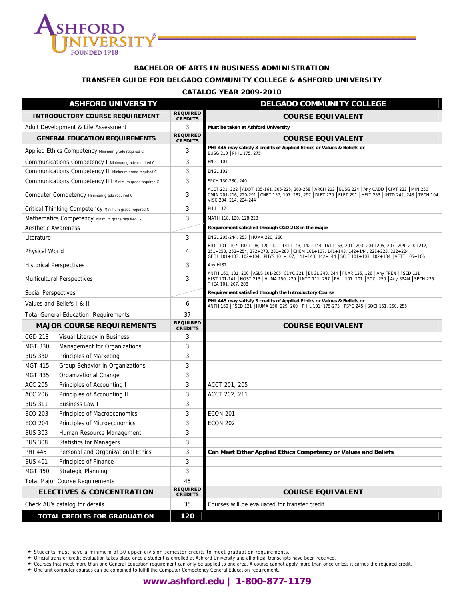

#### **BACHELOR OF ARTS IN BUSINESS ADMINISTRATION**

#### **TRANSFER GUIDE FOR DELGADO COMMUNITY COLLEGE & ASHFORD UNIVERSITY**

#### **CATALOG YEAR 2009-2010**

|                            | <b>ASHFORD UNIVERSITY</b>                               |                                   | <b>DELGADO COMMUNITY COLLEGE</b>                                                                                                                                                                                                                                                 |
|----------------------------|---------------------------------------------------------|-----------------------------------|----------------------------------------------------------------------------------------------------------------------------------------------------------------------------------------------------------------------------------------------------------------------------------|
|                            | <b>INTRODUCTORY COURSE REQUIREMENT</b>                  | <b>REQUIRED</b><br><b>CREDITS</b> | <b>COURSE EQUIVALENT</b>                                                                                                                                                                                                                                                         |
|                            | Adult Development & Life Assessment                     | 3                                 | Must be taken at Ashford University                                                                                                                                                                                                                                              |
|                            | <b>GENERAL EDUCATION REQUIREMENTS</b>                   | <b>REQUIRED</b><br><b>CREDITS</b> | <b>COURSE EQUIVALENT</b>                                                                                                                                                                                                                                                         |
|                            | Applied Ethics Competency Minimum grade required C-     | 3                                 | PHI 445 may satisfy 3 credits of Applied Ethics or Values & Beliefs or<br>BUSG 210   PHIL 175, 275                                                                                                                                                                               |
|                            | Communications Competency I Minimum grade required C-   | 3                                 | <b>ENGL 101</b>                                                                                                                                                                                                                                                                  |
|                            | Communications Competency II Minimum grade required C-  | 3                                 | <b>ENGL 102</b>                                                                                                                                                                                                                                                                  |
|                            | Communications Competency III Minimum grade required C- | 3                                 | SPCH 130-230, 240                                                                                                                                                                                                                                                                |
|                            | Computer Competency Minimum grade required C-           | 3                                 | ACCT 221, 222   ADOT 105-161, 205-225, 263-268   ARCH 212   BUSG 224   Any CADD   CIVT 222   MIN 250<br>CMIN 201-216, 220-291   CNET 157, 197, 287, 297   DIET 220   ELET 291   HEIT 253   INTD 242, 243   TECH 104<br>VISC 204, 214, 224-244                                    |
|                            | Critical Thinking Competency Minimum grade required C-  | 3                                 | <b>PHIL 112</b>                                                                                                                                                                                                                                                                  |
|                            | Mathematics Competency Minimum grade required C-        | 3                                 | MATH 118, 120, 128-223                                                                                                                                                                                                                                                           |
| <b>Aesthetic Awareness</b> |                                                         |                                   | Requirement satisfied through CGD 218 in the major                                                                                                                                                                                                                               |
| Literature                 |                                                         | 3                                 | ENGL 205-244, 253   HUMA 220, 260                                                                                                                                                                                                                                                |
| Physical World             |                                                         | 4                                 | BIOL 101+107, 102+108, 120+121, 141+143, 142+144, 161+163, 201+203, 204+205, 207+209, 210+212,<br>251+253, 252+254, 272+273, 281+283 CHEM 101+107, 141+143, 142+144, 221+223, 222+224<br>GEOL 101+103, 102+104 PHYS 101+107, 141+143, 142+144 SCIE 101+103, 102+104 VETT 105+106 |
|                            | <b>Historical Perspectives</b>                          | 3                                 | Any HIST                                                                                                                                                                                                                                                                         |
|                            | <b>Multicultural Perspectives</b>                       | 3                                 | ANTH 160, 181, 200   ASLS 101-205  CDYC 221   ENGL 243, 244   FNAR 125, 126   Any FREN   FSED 121<br>HIST 101-141   HOST 213   HUMA 150, 229   INTD 111, 297   PHIL 101, 201   SOCI 250   Any SPAN   SPCH 236<br>THEA 101, 207, 208                                              |
| Social Perspectives        |                                                         |                                   | Requirement satisfied through the Introductory Course                                                                                                                                                                                                                            |
|                            | Values and Beliefs I & II                               | 6                                 | PHI 445 may satisfy 3 credits of Applied Ethics or Values & Beliefs or<br>ANTH 160   FSED 121   HUMA 150, 229, 260   PHIL 101, 175-275   PSYC 245   SOCI 151, 250, 255                                                                                                           |
|                            | <b>Total General Education Requirements</b>             | 37                                |                                                                                                                                                                                                                                                                                  |
|                            | <b>MAJOR COURSE REQUIREMENTS</b>                        | <b>REQUIRED</b><br><b>CREDITS</b> | <b>COURSE EQUIVALENT</b>                                                                                                                                                                                                                                                         |
| <b>CGD 218</b>             | Visual Literacy in Business                             | 3                                 |                                                                                                                                                                                                                                                                                  |
| <b>MGT 330</b>             | Management for Organizations                            | 3                                 |                                                                                                                                                                                                                                                                                  |
| <b>BUS 330</b>             | Principles of Marketing                                 | 3                                 |                                                                                                                                                                                                                                                                                  |
| <b>MGT 415</b>             | Group Behavior in Organizations                         | 3                                 |                                                                                                                                                                                                                                                                                  |
| <b>MGT 435</b>             | Organizational Change                                   | 3                                 |                                                                                                                                                                                                                                                                                  |
| <b>ACC 205</b>             | Principles of Accounting I                              | 3                                 | ACCT 201, 205                                                                                                                                                                                                                                                                    |
| <b>ACC 206</b>             | Principles of Accounting II                             | 3                                 | ACCT 202, 211                                                                                                                                                                                                                                                                    |
| <b>BUS 311</b>             | <b>Business Law I</b>                                   | 3                                 |                                                                                                                                                                                                                                                                                  |
| <b>ECO 203</b>             | Principles of Macroeconomics                            | 3                                 | <b>ECON 201</b>                                                                                                                                                                                                                                                                  |
| <b>ECO 204</b>             | Principles of Microeconomics                            | 3                                 | <b>ECON 202</b>                                                                                                                                                                                                                                                                  |
| <b>BUS 303</b>             | Human Resource Management                               | 3                                 |                                                                                                                                                                                                                                                                                  |
| <b>BUS 308</b>             | <b>Statistics for Managers</b>                          | 3                                 |                                                                                                                                                                                                                                                                                  |
| <b>PHI 445</b>             | Personal and Organizational Ethics                      | 3                                 | Can Meet Either Applied Ethics Competency or Values and Beliefs                                                                                                                                                                                                                  |
| <b>BUS 401</b>             | Principles of Finance                                   | 3                                 |                                                                                                                                                                                                                                                                                  |
| <b>MGT 450</b>             | <b>Strategic Planning</b>                               | 3                                 |                                                                                                                                                                                                                                                                                  |
|                            | <b>Total Major Course Requirements</b>                  | 45                                |                                                                                                                                                                                                                                                                                  |
|                            | <b>ELECTIVES &amp; CONCENTRATION</b>                    | <b>REQUIRED</b><br><b>CREDITS</b> | <b>COURSE EQUIVALENT</b>                                                                                                                                                                                                                                                         |
|                            | Check AU's catalog for details.                         | 35                                | Courses will be evaluated for transfer credit                                                                                                                                                                                                                                    |
|                            | <b>TOTAL CREDITS FOR GRADUATION</b>                     | 120                               |                                                                                                                                                                                                                                                                                  |

← Students must have a minimum of 30 upper-division semester credits to meet graduation requirements.<br>← Official transfer credit evaluation takes place once a student is enrolled at Ashford University and all official tra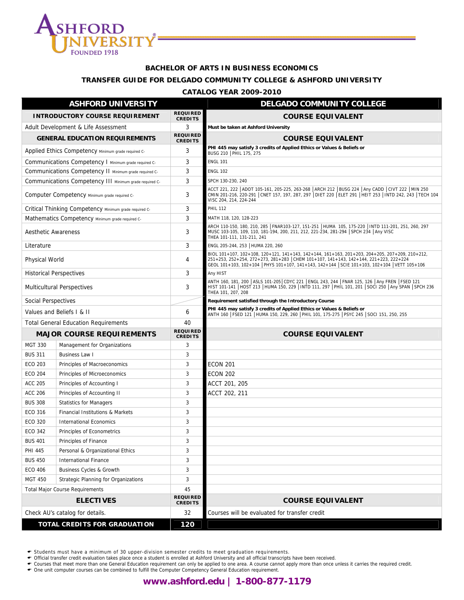

#### **BACHELOR OF ARTS IN BUSINESS ECONOMICS**

#### **TRANSFER GUIDE FOR DELGADO COMMUNITY COLLEGE & ASHFORD UNIVERSITY**

#### **CATALOG YEAR 2009-2010**

|                            | <b>ASHFORD UNIVERSITY</b>                               |                                   | <b>DELGADO COMMUNITY COLLEGE</b>                                                                                                                                                                                                                                                       |
|----------------------------|---------------------------------------------------------|-----------------------------------|----------------------------------------------------------------------------------------------------------------------------------------------------------------------------------------------------------------------------------------------------------------------------------------|
|                            | <b>INTRODUCTORY COURSE REQUIREMENT</b>                  | <b>REQUIRED</b><br><b>CREDITS</b> | <b>COURSE EQUIVALENT</b>                                                                                                                                                                                                                                                               |
|                            | Adult Development & Life Assessment                     | 3                                 | Must be taken at Ashford University                                                                                                                                                                                                                                                    |
|                            | <b>GENERAL EDUCATION REQUIREMENTS</b>                   | <b>REQUIRED</b><br><b>CREDITS</b> | <b>COURSE EQUIVALENT</b>                                                                                                                                                                                                                                                               |
|                            | Applied Ethics Competency Minimum grade required C-     | 3                                 | PHI 445 may satisfy 3 credits of Applied Ethics or Values & Beliefs or<br>BUSG 210   PHIL 175, 275                                                                                                                                                                                     |
|                            | Communications Competency I Minimum grade required C-   | 3                                 | <b>ENGL 101</b>                                                                                                                                                                                                                                                                        |
|                            | Communications Competency II Minimum grade required C-  | 3                                 | <b>ENGL 102</b>                                                                                                                                                                                                                                                                        |
|                            | Communications Competency III Minimum grade required C- | 3                                 | SPCH 130-230, 240                                                                                                                                                                                                                                                                      |
|                            | Computer Competency Minimum grade required C-           | 3                                 | ACCT 221, 222   ADOT 105-161, 205-225, 263-268   ARCH 212   BUSG 224   Any CADD   CIVT 222   MIN 250<br>CMIN 201-216, 220-291   CNET 157, 197, 287, 297   DIET 220   ELET 291   HEIT 253   INTD 242, 243   TECH 104<br>VISC 204, 214, 224-244                                          |
|                            | Critical Thinking Competency Minimum grade required C-  | 3                                 | <b>PHIL 112</b>                                                                                                                                                                                                                                                                        |
|                            | Mathematics Competency Minimum grade required C-        | 3                                 | MATH 118, 120, 128-223                                                                                                                                                                                                                                                                 |
| <b>Aesthetic Awareness</b> |                                                         | 3                                 | ARCH 110-150, 180, 210, 285   FNAR103-127, 151-251   HUMA 105, 175-220   INTD 111-201, 251, 260, 297<br>MUSC 103-105, 109, 110, 181-194, 200, 211, 212, 221-234, 281-294 SPCH 234 Any VISC<br>THEA 101-111, 131-211, 241                                                               |
| Literature                 |                                                         | 3                                 | ENGL 205-244, 253   HUMA 220, 260                                                                                                                                                                                                                                                      |
| Physical World             |                                                         | 4                                 | BIOL 101+107, 102+108, 120+121, 141+143, 142+144, 161+163, 201+203, 204+205, 207+209, 210+212,<br>251+253, 252+254, 272+273, 281+283 CHEM 101+107, 141+143, 142+144, 221+223, 222+224<br>GEOL 101+103, 102+104   PHYS 101+107, 141+143, 142+144   SCIE 101+103, 102+104   VETT 105+106 |
|                            | <b>Historical Perspectives</b>                          | 3                                 | Any HIST                                                                                                                                                                                                                                                                               |
|                            | <b>Multicultural Perspectives</b>                       | 3                                 | ANTH 160, 181, 200   ASLS 101-205  CDYC 221   ENGL 243, 244   FNAR 125, 126   Any FREN   FSED 121<br>HIST 101-141   HOST 213   HUMA 150, 229   INTD 111, 297   PHIL 101, 201   SOCI 250   Any SPAN   SPCH 236<br>THEA 101, 207, 208                                                    |
| <b>Social Perspectives</b> |                                                         |                                   | Requirement satisfied through the Introductory Course                                                                                                                                                                                                                                  |
|                            | Values and Beliefs I & II                               | 6                                 | PHI 445 may satisfy 3 credits of Applied Ethics or Values & Beliefs or<br>ANTH 160   FSED 121   HUMA 150, 229, 260   PHIL 101, 175-275   PSYC 245   SOCI 151, 250, 255                                                                                                                 |
|                            | <b>Total General Education Requirements</b>             | 40                                |                                                                                                                                                                                                                                                                                        |
|                            | <b>MAJOR COURSE REQUIREMENTS</b>                        | <b>REQUIRED</b><br><b>CREDITS</b> | <b>COURSE EQUIVALENT</b>                                                                                                                                                                                                                                                               |
| <b>MGT 330</b>             | Management for Organizations                            | 3                                 |                                                                                                                                                                                                                                                                                        |
| <b>BUS 311</b>             | <b>Business Law I</b>                                   | 3                                 |                                                                                                                                                                                                                                                                                        |
| <b>ECO 203</b>             | Principles of Macroeconomics                            | 3                                 | <b>ECON 201</b>                                                                                                                                                                                                                                                                        |
| <b>ECO 204</b>             | Principles of Microeconomics                            | 3                                 | <b>ECON 202</b>                                                                                                                                                                                                                                                                        |
| <b>ACC 205</b>             | Principles of Accounting I                              | 3                                 | ACCT 201, 205                                                                                                                                                                                                                                                                          |
| <b>ACC 206</b>             | Principles of Accounting II                             | 3                                 | ACCT 202, 211                                                                                                                                                                                                                                                                          |
| <b>BUS 308</b>             | <b>Statistics for Managers</b>                          | 3                                 |                                                                                                                                                                                                                                                                                        |
| ECO 316                    | Financial Institutions & Markets                        | 3                                 |                                                                                                                                                                                                                                                                                        |
| <b>ECO 320</b>             | <b>International Economics</b>                          | 3                                 |                                                                                                                                                                                                                                                                                        |
| ECO 342                    | Principles of Econometrics                              | 3                                 |                                                                                                                                                                                                                                                                                        |
| <b>BUS 401</b>             | Principles of Finance                                   | 3                                 |                                                                                                                                                                                                                                                                                        |
| PHI 445                    | Personal & Organizational Ethics                        | $\mathbf{3}$                      |                                                                                                                                                                                                                                                                                        |
| <b>BUS 450</b>             | <b>International Finance</b>                            | 3                                 |                                                                                                                                                                                                                                                                                        |
| <b>ECO 406</b>             | Business Cycles & Growth                                | $\sqrt{3}$                        |                                                                                                                                                                                                                                                                                        |
| <b>MGT 450</b>             | Strategic Planning for Organizations                    | 3                                 |                                                                                                                                                                                                                                                                                        |
|                            | <b>Total Major Course Requirements</b>                  | 45                                |                                                                                                                                                                                                                                                                                        |
|                            | <b>ELECTIVES</b>                                        | <b>REQUIRED</b><br><b>CREDITS</b> | <b>COURSE EQUIVALENT</b>                                                                                                                                                                                                                                                               |
|                            | Check AU's catalog for details.                         | 32                                | Courses will be evaluated for transfer credit                                                                                                                                                                                                                                          |
|                            | <b>TOTAL CREDITS FOR GRADUATION</b>                     | 120                               |                                                                                                                                                                                                                                                                                        |

← Students must have a minimum of 30 upper-division semester credits to meet graduation requirements.<br>← Official transfer credit evaluation takes place once a student is enrolled at Ashford University and all official tra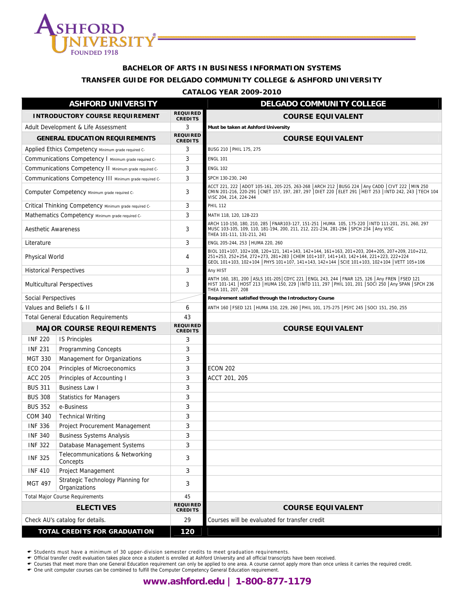

## **BACHELOR OF ARTS IN BUSINESS INFORMATION SYSTEMS**

## **TRANSFER GUIDE FOR DELGADO COMMUNITY COLLEGE & ASHFORD UNIVERSITY**

#### **CATALOG YEAR 2009-2010**

|                                | <b>ASHFORD UNIVERSITY</b>                               |                                   | <b>DELGADO COMMUNITY COLLEGE</b>                                                                                                                                                                                                                                                       |
|--------------------------------|---------------------------------------------------------|-----------------------------------|----------------------------------------------------------------------------------------------------------------------------------------------------------------------------------------------------------------------------------------------------------------------------------------|
|                                | <b>INTRODUCTORY COURSE REQUIREMENT</b>                  | <b>REQUIRED</b><br><b>CREDITS</b> | <b>COURSE EQUIVALENT</b>                                                                                                                                                                                                                                                               |
|                                | Adult Development & Life Assessment                     | 3                                 | Must be taken at Ashford University                                                                                                                                                                                                                                                    |
|                                | <b>GENERAL EDUCATION REQUIREMENTS</b>                   | <b>REQUIRED</b><br><b>CREDITS</b> | <b>COURSE EQUIVALENT</b>                                                                                                                                                                                                                                                               |
|                                | Applied Ethics Competency Minimum grade required C-     | 3                                 | BUSG 210   PHIL 175, 275                                                                                                                                                                                                                                                               |
|                                | Communications Competency   Minimum grade required C-   | 3                                 | <b>ENGL 101</b>                                                                                                                                                                                                                                                                        |
|                                | Communications Competency II Minimum grade required C-  | 3                                 | <b>ENGL 102</b>                                                                                                                                                                                                                                                                        |
|                                | Communications Competency III Minimum grade required C- | 3                                 | SPCH 130-230, 240                                                                                                                                                                                                                                                                      |
|                                | Computer Competency Minimum grade required C-           | 3                                 | ACCT 221, 222  ADOT 105-161, 205-225, 263-268  ARCH 212  BUSG 224  Any CADD  CIVT 222  MIN 250<br>CMIN 201-216, 220-291 CNET 157, 197, 287, 297   DIET 220   ELET 291   HEIT 253   INTD 242, 243   TECH 104<br>VISC 204, 214, 224-244                                                  |
|                                | Critical Thinking Competency Minimum grade required C-  | 3                                 | <b>PHIL 112</b>                                                                                                                                                                                                                                                                        |
|                                | Mathematics Competency Minimum grade required C-        | 3                                 | MATH 118, 120, 128-223                                                                                                                                                                                                                                                                 |
| <b>Aesthetic Awareness</b>     |                                                         | 3                                 | ARCH 110-150, 180, 210, 285   FNAR103-127, 151-251   HUMA 105, 175-220   INTD 111-201, 251, 260, 297<br>MUSC 103-105, 109, 110, 181-194, 200, 211, 212, 221-234, 281-294 SPCH 234 Any VISC<br>THEA 101-111, 131-211, 241                                                               |
| Literature                     |                                                         | 3                                 | ENGL 205-244, 253   HUMA 220, 260                                                                                                                                                                                                                                                      |
| <b>Physical World</b>          |                                                         | 4                                 | BIOL 101+107, 102+108, 120+121, 141+143, 142+144, 161+163, 201+203, 204+205, 207+209, 210+212,<br>251+253, 252+254, 272+273, 281+283 CHEM 101+107, 141+143, 142+144, 221+223, 222+224<br>GEOL 101+103, 102+104   PHYS 101+107, 141+143, 142+144   SCIE 101+103, 102+104   VETT 105+106 |
| <b>Historical Perspectives</b> |                                                         | 3                                 | Any HIST                                                                                                                                                                                                                                                                               |
|                                | <b>Multicultural Perspectives</b>                       | 3                                 | ANTH 160, 181, 200   ASLS 101-205   CDYC 221   ENGL 243, 244   FNAR 125, 126   Any FREN   FSED 121<br>HIST 101-141   HOST 213   HUMA 150, 229   INTD 111, 297   PHIL 101, 201   SOCI 250   Any SPAN   SPCH 236<br>THEA 101, 207, 208                                                   |
| <b>Social Perspectives</b>     |                                                         |                                   | Requirement satisfied through the Introductory Course                                                                                                                                                                                                                                  |
|                                | Values and Beliefs L & II                               | 6                                 | ANTH 160   FSED 121   HUMA 150, 229, 260   PHIL 101, 175-275   PSYC 245   SOCI 151, 250, 255                                                                                                                                                                                           |
|                                | <b>Total General Education Requirements</b>             | 43                                |                                                                                                                                                                                                                                                                                        |
|                                | <b>MAJOR COURSE REQUIREMENTS</b>                        | <b>REQUIRED</b><br><b>CREDITS</b> | <b>COURSE EQUIVALENT</b>                                                                                                                                                                                                                                                               |
| <b>INF 220</b>                 | <b>IS Principles</b>                                    | 3                                 |                                                                                                                                                                                                                                                                                        |
| <b>INF 231</b>                 | <b>Programming Concepts</b>                             |                                   |                                                                                                                                                                                                                                                                                        |
|                                |                                                         | 3                                 |                                                                                                                                                                                                                                                                                        |
| <b>MGT 330</b>                 | Management for Organizations                            | 3                                 |                                                                                                                                                                                                                                                                                        |
| <b>ECO 204</b>                 | Principles of Microeconomics                            | 3                                 | <b>ECON 202</b>                                                                                                                                                                                                                                                                        |
| <b>ACC 205</b>                 | Principles of Accounting I                              | 3                                 | ACCT 201, 205                                                                                                                                                                                                                                                                          |
| <b>BUS 311</b>                 | <b>Business Law I</b>                                   | 3                                 |                                                                                                                                                                                                                                                                                        |
| <b>BUS 308</b>                 | <b>Statistics for Managers</b>                          | 3                                 |                                                                                                                                                                                                                                                                                        |
| <b>BUS 352</b>                 | e-Business                                              | 3                                 |                                                                                                                                                                                                                                                                                        |
| <b>COM 340</b>                 | <b>Technical Writing</b>                                | 3                                 |                                                                                                                                                                                                                                                                                        |
| <b>INF 336</b>                 | Project Procurement Management                          | 3                                 |                                                                                                                                                                                                                                                                                        |
| <b>INF 340</b>                 | <b>Business Systems Analysis</b>                        | 3                                 |                                                                                                                                                                                                                                                                                        |
| <b>INF 322</b>                 | Database Management Systems                             | 3                                 |                                                                                                                                                                                                                                                                                        |
| <b>INF 325</b>                 | Telecommunications & Networking<br>Concepts             | 3                                 |                                                                                                                                                                                                                                                                                        |
| <b>INF 410</b>                 | Project Management                                      | 3                                 |                                                                                                                                                                                                                                                                                        |
| <b>MGT 497</b>                 | Strategic Technology Planning for<br>Organizations      | 3                                 |                                                                                                                                                                                                                                                                                        |
|                                | <b>Total Major Course Requirements</b>                  | 45                                |                                                                                                                                                                                                                                                                                        |
|                                | <b>ELECTIVES</b>                                        | <b>REQUIRED</b><br><b>CREDITS</b> | <b>COURSE EQUIVALENT</b>                                                                                                                                                                                                                                                               |
|                                | Check AU's catalog for details.                         | 29                                | Courses will be evaluated for transfer credit                                                                                                                                                                                                                                          |

← Students must have a minimum of 30 upper-division semester credits to meet graduation requirements.<br>← Official transfer credit evaluation takes place once a student is enrolled at Ashford University and all official tra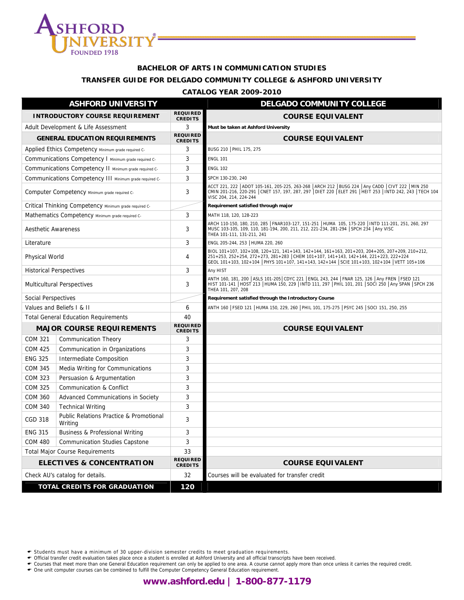

#### **BACHELOR OF ARTS IN COMMUNICATION STUDIES**

#### **TRANSFER GUIDE FOR DELGADO COMMUNITY COLLEGE & ASHFORD UNIVERSITY**

#### **CATALOG YEAR 2009-2010**

|                                | <b>ASHFORD UNIVERSITY</b>                               |                                   | <b>DELGADO COMMUNITY COLLEGE</b>                                                                                                                                                                                                                                                       |
|--------------------------------|---------------------------------------------------------|-----------------------------------|----------------------------------------------------------------------------------------------------------------------------------------------------------------------------------------------------------------------------------------------------------------------------------------|
|                                | <b>INTRODUCTORY COURSE REQUIREMENT</b>                  | <b>REQUIRED</b><br><b>CREDITS</b> | <b>COURSE EQUIVALENT</b>                                                                                                                                                                                                                                                               |
|                                | Adult Development & Life Assessment                     | 3                                 | Must be taken at Ashford University                                                                                                                                                                                                                                                    |
|                                | <b>GENERAL EDUCATION REQUIREMENTS</b>                   | <b>REQUIRED</b><br><b>CREDITS</b> | <b>COURSE EQUIVALENT</b>                                                                                                                                                                                                                                                               |
|                                | Applied Ethics Competency Minimum grade required C-     | 3                                 | BUSG 210   PHIL 175, 275                                                                                                                                                                                                                                                               |
|                                | Communications Competency I Minimum grade required C-   | 3                                 | <b>ENGL 101</b>                                                                                                                                                                                                                                                                        |
|                                | Communications Competency II Minimum grade required C-  | 3                                 | <b>ENGL 102</b>                                                                                                                                                                                                                                                                        |
|                                | Communications Competency III Minimum grade required C- | 3                                 | SPCH 130-230, 240                                                                                                                                                                                                                                                                      |
|                                | Computer Competency Minimum grade required C-           | 3                                 | ACCT 221, 222   ADOT 105-161, 205-225, 263-268   ARCH 212   BUSG 224   Any CADD   CIVT 222   MIN 250<br>CMIN 201-216, 220-291   CNET 157, 197, 287, 297   DIET 220   ELET 291   HEIT 253   INTD 242, 243   TECH 104<br>VISC 204, 214, 224-244                                          |
|                                | Critical Thinking Competency Minimum grade required C-  |                                   | Requirement satisfied through major                                                                                                                                                                                                                                                    |
|                                | Mathematics Competency Minimum grade required C-        | 3                                 | MATH 118, 120, 128-223                                                                                                                                                                                                                                                                 |
| <b>Aesthetic Awareness</b>     |                                                         | 3                                 | ARCH 110-150, 180, 210, 285   FNAR103-127, 151-251   HUMA 105, 175-220   INTD 111-201, 251, 260, 297<br>MUSC 103-105, 109, 110, 181-194, 200, 211, 212, 221-234, 281-294 SPCH 234 Any VISC<br>THEA 101-111, 131-211, 241                                                               |
| Literature                     |                                                         | 3                                 | ENGL 205-244, 253   HUMA 220, 260                                                                                                                                                                                                                                                      |
| Physical World                 |                                                         | 4                                 | BIOL 101+107, 102+108, 120+121, 141+143, 142+144, 161+163, 201+203, 204+205, 207+209, 210+212,<br>251+253, 252+254, 272+273, 281+283 CHEM 101+107, 141+143, 142+144, 221+223, 222+224<br>GEOL 101+103, 102+104   PHYS 101+107, 141+143, 142+144   SCIE 101+103, 102+104   VETT 105+106 |
| <b>Historical Perspectives</b> |                                                         | 3                                 | Any HIST                                                                                                                                                                                                                                                                               |
|                                | <b>Multicultural Perspectives</b>                       | 3                                 | ANTH 160, 181, 200   ASLS 101-205  CDYC 221   ENGL 243, 244   FNAR 125, 126   Any FREN   FSED 121<br>HIST 101-141   HOST 213   HUMA 150, 229   INTD 111, 297   PHIL 101, 201   SOCI 250   Any SPAN   SPCH 236<br>THEA 101, 207, 208                                                    |
| Social Perspectives            |                                                         |                                   | Requirement satisfied through the Introductory Course                                                                                                                                                                                                                                  |
|                                | Values and Beliefs I & II                               | 6                                 | ANTH 160   FSED 121   HUMA 150, 229, 260   PHIL 101, 175-275   PSYC 245   SOCI 151, 250, 255                                                                                                                                                                                           |
|                                | <b>Total General Education Requirements</b>             | 40                                |                                                                                                                                                                                                                                                                                        |
|                                | <b>MAJOR COURSE REQUIREMENTS</b>                        | <b>REQUIRED</b><br><b>CREDITS</b> | <b>COURSE EQUIVALENT</b>                                                                                                                                                                                                                                                               |
| <b>COM 321</b>                 | <b>Communication Theory</b>                             | 3                                 |                                                                                                                                                                                                                                                                                        |
| <b>COM 425</b>                 | Communication in Organizations                          | 3                                 |                                                                                                                                                                                                                                                                                        |
| <b>ENG 325</b>                 | Intermediate Composition                                | 3                                 |                                                                                                                                                                                                                                                                                        |
| <b>COM 345</b>                 | Media Writing for Communications                        | 3                                 |                                                                                                                                                                                                                                                                                        |
| <b>COM 323</b>                 | Persuasion & Argumentation                              | 3                                 |                                                                                                                                                                                                                                                                                        |
| <b>COM 325</b>                 | Communication & Conflict                                | 3                                 |                                                                                                                                                                                                                                                                                        |
| <b>COM 360</b>                 | Advanced Communications in Society                      | 3                                 |                                                                                                                                                                                                                                                                                        |
| <b>COM 340</b>                 | <b>Technical Writing</b>                                | 3                                 |                                                                                                                                                                                                                                                                                        |
| <b>CGD 318</b>                 | Public Relations Practice & Promotional<br>Writing      | 3                                 |                                                                                                                                                                                                                                                                                        |
| <b>ENG 315</b>                 | Business & Professional Writing                         | 3                                 |                                                                                                                                                                                                                                                                                        |
| <b>COM 480</b>                 | <b>Communication Studies Capstone</b>                   | 3                                 |                                                                                                                                                                                                                                                                                        |
|                                | <b>Total Major Course Requirements</b>                  | 33                                |                                                                                                                                                                                                                                                                                        |
|                                | <b>ELECTIVES &amp; CONCENTRATION</b>                    | <b>REQUIRED</b><br><b>CREDITS</b> | <b>COURSE EQUIVALENT</b>                                                                                                                                                                                                                                                               |
|                                | Check AU's catalog for details.                         | 32                                | Courses will be evaluated for transfer credit                                                                                                                                                                                                                                          |
|                                | TOTAL CREDITS FOR GRADUATION                            | 120                               |                                                                                                                                                                                                                                                                                        |

← Students must have a minimum of 30 upper-division semester credits to meet graduation requirements.<br>← Official transfer credit evaluation takes place once a student is enrolled at Ashford University and all official tra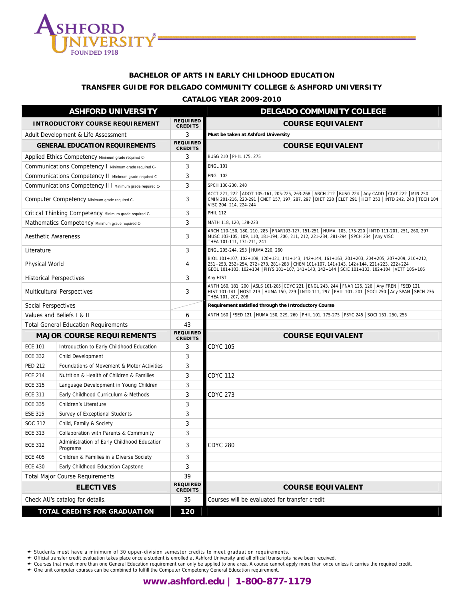

# **BACHELOR OF ARTS IN EARLY CHILDHOOD EDUCATION TRANSFER GUIDE FOR DELGADO COMMUNITY COLLEGE & ASHFORD UNIVERSITY**

#### **CATALOG YEAR 2009-2010**

|                            | <b>ASHFORD UNIVERSITY</b>                               |                                   | <b>DELGADO COMMUNITY COLLEGE</b>                                                                                                                                                                                                                                                       |
|----------------------------|---------------------------------------------------------|-----------------------------------|----------------------------------------------------------------------------------------------------------------------------------------------------------------------------------------------------------------------------------------------------------------------------------------|
|                            | <b>INTRODUCTORY COURSE REQUIREMENT</b>                  | <b>REQUIRED</b><br><b>CREDITS</b> | <b>COURSE EQUIVALENT</b>                                                                                                                                                                                                                                                               |
|                            | Adult Development & Life Assessment                     | 3                                 | Must be taken at Ashford University                                                                                                                                                                                                                                                    |
|                            | <b>GENERAL EDUCATION REQUIREMENTS</b>                   | <b>REQUIRED</b><br><b>CREDITS</b> | <b>COURSE EQUIVALENT</b>                                                                                                                                                                                                                                                               |
|                            | Applied Ethics Competency Minimum grade required C-     | 3                                 | BUSG 210   PHIL 175, 275                                                                                                                                                                                                                                                               |
|                            | Communications Competency I Minimum grade required C-   | 3                                 | <b>ENGL 101</b>                                                                                                                                                                                                                                                                        |
|                            | Communications Competency II Minimum grade required C-  | 3                                 | <b>ENGL 102</b>                                                                                                                                                                                                                                                                        |
|                            | Communications Competency III Minimum grade required C- | 3                                 | SPCH 130-230, 240                                                                                                                                                                                                                                                                      |
|                            | Computer Competency Minimum grade required C-           | 3                                 | ACCT 221, 222 ADOT 105-161, 205-225, 263-268 ARCH 212 BUSG 224 Any CADD CIVT 222 MIN 250<br>CMIN 201-216, 220-291 CNET 157, 197, 287, 297 DIET 220 ELET 291 HEIT 253 HNTD 242, 243 TECH 104<br>VISC 204, 214, 224-244                                                                  |
|                            | Critical Thinking Competency Minimum grade required C-  | 3                                 | <b>PHIL 112</b>                                                                                                                                                                                                                                                                        |
|                            | Mathematics Competency Minimum grade required C-        | 3                                 | MATH 118, 120, 128-223                                                                                                                                                                                                                                                                 |
| <b>Aesthetic Awareness</b> |                                                         | 3                                 | ARCH 110-150, 180, 210, 285   FNAR103-127, 151-251   HUMA 105, 175-220   INTD 111-201, 251, 260, 297<br>MUSC 103-105, 109, 110, 181-194, 200, 211, 212, 221-234, 281-294 SPCH 234 Any VISC<br>THEA 101-111, 131-211, 241                                                               |
| Literature                 |                                                         | 3                                 | ENGL 205-244, 253   HUMA 220, 260                                                                                                                                                                                                                                                      |
| Physical World             |                                                         | 4                                 | BIOL 101+107, 102+108, 120+121, 141+143, 142+144, 161+163, 201+203, 204+205, 207+209, 210+212,<br>251+253, 252+254, 272+273, 281+283 CHEM 101+107, 141+143, 142+144, 221+223, 222+224<br>GEOL 101+103, 102+104   PHYS 101+107, 141+143, 142+144   SCIE 101+103, 102+104   VETT 105+106 |
|                            | <b>Historical Perspectives</b>                          | 3                                 | Any HIST                                                                                                                                                                                                                                                                               |
|                            | <b>Multicultural Perspectives</b>                       | 3                                 | ANTH 160, 181, 200   ASLS 101-205   CDYC 221   ENGL 243, 244   FNAR 125, 126   Any FREN   FSED 121<br>HIST 101-141   HOST 213   HUMA 150, 229   INTD 111, 297   PHIL 101, 201   SOCI 250   Any SPAN   SPCH 236<br>THEA 101, 207, 208                                                   |
| Social Perspectives        |                                                         |                                   | Requirement satisfied through the Introductory Course                                                                                                                                                                                                                                  |
|                            | Values and Beliefs I & II                               | 6                                 | ANTH 160   FSED 121   HUMA 150, 229, 260   PHIL 101, 175-275   PSYC 245   SOCI 151, 250, 255                                                                                                                                                                                           |
|                            | <b>Total General Education Requirements</b>             | 43                                |                                                                                                                                                                                                                                                                                        |
|                            | <b>MAJOR COURSE REQUIREMENTS</b>                        | <b>REQUIRED</b><br><b>CREDITS</b> | <b>COURSE EQUIVALENT</b>                                                                                                                                                                                                                                                               |
| <b>ECE 101</b>             | Introduction to Early Childhood Education               | 3                                 | <b>CDYC 105</b>                                                                                                                                                                                                                                                                        |
| <b>ECE 332</b>             | Child Development                                       | 3                                 |                                                                                                                                                                                                                                                                                        |
| <b>PED 212</b>             | Foundations of Movement & Motor Activities              | 3                                 |                                                                                                                                                                                                                                                                                        |
| <b>ECE 214</b>             | Nutrition & Health of Children & Families               | 3                                 | <b>CDYC 112</b>                                                                                                                                                                                                                                                                        |
| <b>ECE 315</b>             | Language Development in Young Children                  | 3                                 |                                                                                                                                                                                                                                                                                        |
| <b>ECE 311</b>             | Early Childhood Curriculum & Methods                    | 3                                 | <b>CDYC 273</b>                                                                                                                                                                                                                                                                        |
| <b>ECE 335</b>             | Children's Literature                                   | 3                                 |                                                                                                                                                                                                                                                                                        |
| <b>ESE 315</b>             | Survey of Exceptional Students                          | 3                                 |                                                                                                                                                                                                                                                                                        |
| SOC 312                    | Child, Family & Society                                 | 3                                 |                                                                                                                                                                                                                                                                                        |
| <b>ECE 313</b>             | Collaboration with Parents & Community                  | 3                                 |                                                                                                                                                                                                                                                                                        |
| <b>ECE 312</b>             | Administration of Early Childhood Education<br>Programs | 3                                 | <b>CDYC 280</b>                                                                                                                                                                                                                                                                        |
| <b>ECE 405</b>             | Children & Families in a Diverse Society                | 3                                 |                                                                                                                                                                                                                                                                                        |
| <b>ECE 430</b>             | Early Childhood Education Capstone                      | 3                                 |                                                                                                                                                                                                                                                                                        |
|                            | <b>Total Major Course Requirements</b>                  | 39                                |                                                                                                                                                                                                                                                                                        |
|                            | <b>ELECTIVES</b>                                        | <b>REQUIRED</b><br><b>CREDITS</b> | <b>COURSE EQUIVALENT</b>                                                                                                                                                                                                                                                               |
|                            | Check AU's catalog for details.                         | 35                                | Courses will be evaluated for transfer credit                                                                                                                                                                                                                                          |
|                            | TOTAL CREDITS FOR GRADUATION                            | 120                               |                                                                                                                                                                                                                                                                                        |

← Students must have a minimum of 30 upper-division semester credits to meet graduation requirements.<br>← Official transfer credit evaluation takes place once a student is enrolled at Ashford University and all official tra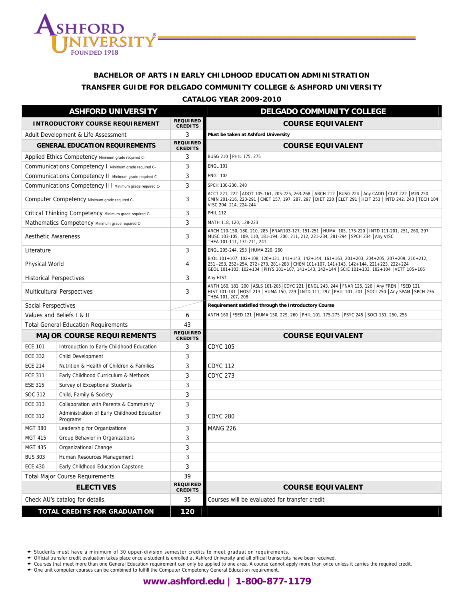

# **BACHELOR OF ARTS IN EARLY CHILDHOOD EDUCATION ADMINISTRATION TRANSFER GUIDE FOR DELGADO COMMUNITY COLLEGE & ASHFORD UNIVERSITY**

**CATALOG YEAR 2009-2010**

|                            | <b>ASHFORD UNIVERSITY</b>                               |                                   | <b>DELGADO COMMUNITY COLLEGE</b>                                                                                                                                                                                                                                                       |
|----------------------------|---------------------------------------------------------|-----------------------------------|----------------------------------------------------------------------------------------------------------------------------------------------------------------------------------------------------------------------------------------------------------------------------------------|
|                            | <b>INTRODUCTORY COURSE REQUIREMENT</b>                  | <b>REQUIRED</b><br><b>CREDITS</b> | <b>COURSE EQUIVALENT</b>                                                                                                                                                                                                                                                               |
|                            | Adult Development & Life Assessment                     | 3                                 | Must be taken at Ashford University                                                                                                                                                                                                                                                    |
|                            | <b>GENERAL EDUCATION REQUIREMENTS</b>                   | <b>REQUIRED</b><br><b>CREDITS</b> | <b>COURSE EQUIVALENT</b>                                                                                                                                                                                                                                                               |
|                            | Applied Ethics Competency Minimum grade required C-     | 3                                 | BUSG 210   PHIL 175, 275                                                                                                                                                                                                                                                               |
|                            | Communications Competency I Minimum grade required C-   | 3                                 | <b>ENGL 101</b>                                                                                                                                                                                                                                                                        |
|                            | Communications Competency II Minimum grade required C-  | 3                                 | <b>ENGL 102</b>                                                                                                                                                                                                                                                                        |
|                            | Communications Competency III Minimum grade required C- | 3                                 | SPCH 130-230, 240                                                                                                                                                                                                                                                                      |
|                            | Computer Competency Minimum grade required C-           | 3                                 | ACCT 221, 222   ADOT 105-161, 205-225, 263-268   ARCH 212   BUSG 224   Any CADD   CIVT 222   MIN 250<br>CMIN 201-216, 220-291 CNET 157, 197, 287, 297 DIET 220 ELET 291 HEIT 253 INTD 242, 243 TECH 104<br>VISC 204, 214, 224-244                                                      |
|                            | Critical Thinking Competency Minimum grade required C-  | 3                                 | <b>PHIL 112</b>                                                                                                                                                                                                                                                                        |
|                            | Mathematics Competency Minimum grade required C-        | 3                                 | MATH 118, 120, 128-223                                                                                                                                                                                                                                                                 |
| <b>Aesthetic Awareness</b> |                                                         | 3                                 | ARCH 110-150, 180, 210, 285   FNAR103-127, 151-251   HUMA 105, 175-220   INTD 111-201, 251, 260, 297<br>MUSC 103-105, 109, 110, 181-194, 200, 211, 212, 221-234, 281-294 SPCH 234 Any VISC<br>THEA 101-111, 131-211, 241                                                               |
| Literature                 |                                                         | 3                                 | ENGL 205-244, 253   HUMA 220, 260                                                                                                                                                                                                                                                      |
| Physical World             |                                                         | 4                                 | BIOL 101+107, 102+108, 120+121, 141+143, 142+144, 161+163, 201+203, 204+205, 207+209, 210+212,<br>251+253, 252+254, 272+273, 281+283 CHEM 101+107, 141+143, 142+144, 221+223, 222+224<br>GEOL 101+103, 102+104   PHYS 101+107, 141+143, 142+144   SCIE 101+103, 102+104   VETT 105+106 |
|                            | <b>Historical Perspectives</b>                          | 3                                 | Any HIST                                                                                                                                                                                                                                                                               |
|                            | <b>Multicultural Perspectives</b>                       | 3                                 | ANTH 160, 181, 200   ASLS 101-205   CDYC 221   ENGL 243, 244   FNAR 125, 126   Any FREN   FSED 121<br>HIST 101-141   HOST 213   HUMA 150, 229   INTD 111, 297   PHIL 101, 201   SOCI 250   Any SPAN   SPCH 236<br>THEA 101, 207, 208                                                   |
| <b>Social Perspectives</b> |                                                         |                                   | Requirement satisfied through the Introductory Course                                                                                                                                                                                                                                  |
|                            | Values and Beliefs I & II                               | 6                                 | ANTH 160   FSED 121   HUMA 150, 229, 260   PHIL 101, 175-275   PSYC 245   SOCI 151, 250, 255                                                                                                                                                                                           |
|                            | <b>Total General Education Requirements</b>             | 43                                |                                                                                                                                                                                                                                                                                        |
|                            | <b>MAJOR COURSE REQUIREMENTS</b>                        | <b>REQUIRED</b><br><b>CREDITS</b> | <b>COURSE EQUIVALENT</b>                                                                                                                                                                                                                                                               |
| <b>ECE 101</b>             | Introduction to Early Childhood Education               | 3                                 | <b>CDYC 105</b>                                                                                                                                                                                                                                                                        |
| <b>ECE 332</b>             | Child Development                                       | 3                                 |                                                                                                                                                                                                                                                                                        |
| <b>ECE 214</b>             | Nutrition & Health of Children & Families               | 3                                 | <b>CDYC 112</b>                                                                                                                                                                                                                                                                        |
| <b>ECE 311</b>             | Early Childhood Curriculum & Methods                    | 3                                 | <b>CDYC 273</b>                                                                                                                                                                                                                                                                        |
| <b>ESE 315</b>             | Survey of Exceptional Students                          | 3                                 |                                                                                                                                                                                                                                                                                        |
| SOC 312                    | Child, Family & Society                                 | 3                                 |                                                                                                                                                                                                                                                                                        |
| <b>ECE 313</b>             | Collaboration with Parents & Community                  | 3                                 |                                                                                                                                                                                                                                                                                        |
| <b>ECE 312</b>             | Administration of Early Childhood Education<br>Programs | 3                                 | <b>CDYC 280</b>                                                                                                                                                                                                                                                                        |
| <b>MGT 380</b>             | Leadership for Organizations                            | 3                                 | <b>MANG 226</b>                                                                                                                                                                                                                                                                        |
| <b>MGT 415</b>             | Group Behavior in Organizations                         | 3                                 |                                                                                                                                                                                                                                                                                        |
| <b>MGT 435</b>             | Organizational Change                                   | 3                                 |                                                                                                                                                                                                                                                                                        |
| <b>BUS 303</b>             | Human Resources Management                              | 3                                 |                                                                                                                                                                                                                                                                                        |
| <b>ECE 430</b>             | Early Childhood Education Capstone                      | 3                                 |                                                                                                                                                                                                                                                                                        |
|                            | <b>Total Major Course Requirements</b>                  | 39                                |                                                                                                                                                                                                                                                                                        |
|                            | <b>ELECTIVES</b>                                        | <b>REQUIRED</b><br><b>CREDITS</b> | <b>COURSE EQUIVALENT</b>                                                                                                                                                                                                                                                               |
|                            | Check AU's catalog for details.                         | 35                                | Courses will be evaluated for transfer credit                                                                                                                                                                                                                                          |
|                            | <b>TOTAL CREDITS FOR GRADUATION</b>                     | 120                               |                                                                                                                                                                                                                                                                                        |

← Students must have a minimum of 30 upper-division semester credits to meet graduation requirements.<br>← Official transfer credit evaluation takes place once a student is enrolled at Ashford University and all official tra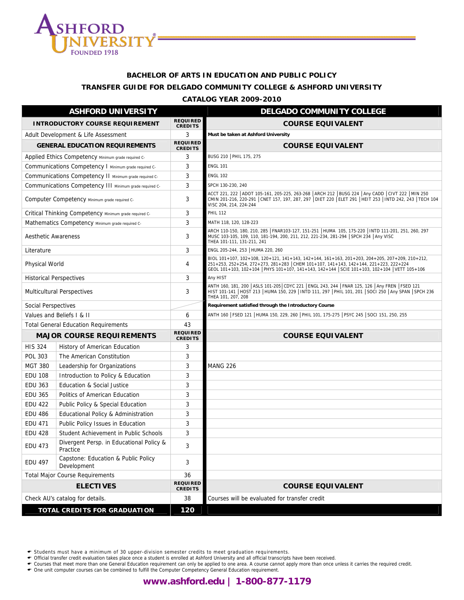

# **BACHELOR OF ARTS IN EDUCATION AND PUBLIC POLICY TRANSFER GUIDE FOR DELGADO COMMUNITY COLLEGE & ASHFORD UNIVERSITY**

#### **CATALOG YEAR 2009-2010**

|                            | <b>ASHFORD UNIVERSITY</b>                               |                                   | <b>DELGADO COMMUNITY COLLEGE</b>                                                                                                                                                                                                                                                       |
|----------------------------|---------------------------------------------------------|-----------------------------------|----------------------------------------------------------------------------------------------------------------------------------------------------------------------------------------------------------------------------------------------------------------------------------------|
|                            | <b>INTRODUCTORY COURSE REQUIREMENT</b>                  | <b>REQUIRED</b><br><b>CREDITS</b> | <b>COURSE EQUIVALENT</b>                                                                                                                                                                                                                                                               |
|                            | Adult Development & Life Assessment                     | 3                                 | Must be taken at Ashford University                                                                                                                                                                                                                                                    |
|                            | <b>GENERAL EDUCATION REQUIREMENTS</b>                   | <b>REQUIRED</b><br><b>CREDITS</b> | <b>COURSE EQUIVALENT</b>                                                                                                                                                                                                                                                               |
|                            | Applied Ethics Competency Minimum grade required C-     | 3                                 | BUSG 210   PHIL 175, 275                                                                                                                                                                                                                                                               |
|                            | Communications Competency I Minimum grade required C-   | 3                                 | <b>ENGL 101</b>                                                                                                                                                                                                                                                                        |
|                            | Communications Competency II Minimum grade required C-  | 3                                 | <b>ENGL 102</b>                                                                                                                                                                                                                                                                        |
|                            | Communications Competency III Minimum grade required C- | 3                                 | SPCH 130-230, 240                                                                                                                                                                                                                                                                      |
|                            | Computer Competency Minimum grade required C-           | 3                                 | ACCT 221, 222 ADOT 105-161, 205-225, 263-268 ARCH 212 BUSG 224 Any CADD CIVT 222 MIN 250<br>CMIN 201-216, 220-291 CNET 157, 197, 287, 297 DIET 220 ELET 291 HEIT 253 HNTD 242, 243 TECH 104<br>VISC 204, 214, 224-244                                                                  |
|                            | Critical Thinking Competency Minimum grade required C-  | 3                                 | <b>PHIL 112</b>                                                                                                                                                                                                                                                                        |
|                            | Mathematics Competency Minimum grade required C-        | 3                                 | MATH 118, 120, 128-223                                                                                                                                                                                                                                                                 |
| <b>Aesthetic Awareness</b> |                                                         | 3                                 | ARCH 110-150, 180, 210, 285   FNAR103-127, 151-251   HUMA 105, 175-220   INTD 111-201, 251, 260, 297<br>MUSC 103-105, 109, 110, 181-194, 200, 211, 212, 221-234, 281-294 SPCH 234 Any VISC<br>THEA 101-111, 131-211, 241                                                               |
| Literature                 |                                                         | 3                                 | ENGL 205-244, 253   HUMA 220, 260                                                                                                                                                                                                                                                      |
| Physical World             |                                                         | 4                                 | BIOL 101+107, 102+108, 120+121, 141+143, 142+144, 161+163, 201+203, 204+205, 207+209, 210+212,<br>251+253, 252+254, 272+273, 281+283 CHEM 101+107, 141+143, 142+144, 221+223, 222+224<br>GEOL 101+103, 102+104   PHYS 101+107, 141+143, 142+144   SCIE 101+103, 102+104   VETT 105+106 |
|                            | <b>Historical Perspectives</b>                          | 3                                 | Any HIST                                                                                                                                                                                                                                                                               |
|                            | <b>Multicultural Perspectives</b>                       | 3                                 | ANTH 160, 181, 200   ASLS 101-205   CDYC 221   ENGL 243, 244   FNAR 125, 126   Any FREN   FSED 121<br>HIST 101-141   HOST 213   HUMA 150, 229   INTD 111, 297   PHIL 101, 201   SOCI 250   Any SPAN   SPCH 236<br>THEA 101, 207, 208                                                   |
| Social Perspectives        |                                                         |                                   | Requirement satisfied through the Introductory Course                                                                                                                                                                                                                                  |
|                            | Values and Beliefs I & II                               | 6                                 | ANTH 160   FSED 121   HUMA 150, 229, 260   PHIL 101, 175-275   PSYC 245   SOCI 151, 250, 255                                                                                                                                                                                           |
|                            | <b>Total General Education Requirements</b>             | 43                                |                                                                                                                                                                                                                                                                                        |
|                            | <b>MAJOR COURSE REQUIREMENTS</b>                        | <b>REQUIRED</b><br><b>CREDITS</b> | <b>COURSE EQUIVALENT</b>                                                                                                                                                                                                                                                               |
| <b>HIS 324</b>             | History of American Education                           | 3                                 |                                                                                                                                                                                                                                                                                        |
| POL 303                    | The American Constitution                               | 3                                 |                                                                                                                                                                                                                                                                                        |
| <b>MGT 380</b>             | Leadership for Organizations                            | 3                                 | <b>MANG 226</b>                                                                                                                                                                                                                                                                        |
| <b>EDU 108</b>             | Introduction to Policy & Education                      | 3                                 |                                                                                                                                                                                                                                                                                        |
| <b>EDU 363</b>             | Education & Social Justice                              | 3                                 |                                                                                                                                                                                                                                                                                        |
| <b>EDU 365</b>             | Politics of American Education                          | 3                                 |                                                                                                                                                                                                                                                                                        |
| <b>EDU 422</b>             | Public Policy & Special Education                       | 3                                 |                                                                                                                                                                                                                                                                                        |
| <b>EDU 486</b>             | Educational Policy & Administration                     | 3                                 |                                                                                                                                                                                                                                                                                        |
| <b>EDU 471</b>             | Public Policy Issues in Education                       | 3                                 |                                                                                                                                                                                                                                                                                        |
| <b>EDU 428</b>             | Student Achievement in Public Schools                   | 3                                 |                                                                                                                                                                                                                                                                                        |
| <b>EDU 473</b>             | Divergent Persp. in Educational Policy &<br>Practice    | 3                                 |                                                                                                                                                                                                                                                                                        |
| <b>EDU 497</b>             | Capstone: Education & Public Policy<br>Development      | 3                                 |                                                                                                                                                                                                                                                                                        |
|                            | <b>Total Major Course Requirements</b>                  | 36                                |                                                                                                                                                                                                                                                                                        |
|                            | <b>ELECTIVES</b>                                        | <b>REQUIRED</b><br><b>CREDITS</b> | <b>COURSE EQUIVALENT</b>                                                                                                                                                                                                                                                               |
|                            | Check AU's catalog for details.                         | 38                                | Courses will be evaluated for transfer credit                                                                                                                                                                                                                                          |
|                            | <b>TOTAL CREDITS FOR GRADUATION</b>                     | 120                               |                                                                                                                                                                                                                                                                                        |

← Students must have a minimum of 30 upper-division semester credits to meet graduation requirements.<br>← Official transfer credit evaluation takes place once a student is enrolled at Ashford University and all official tra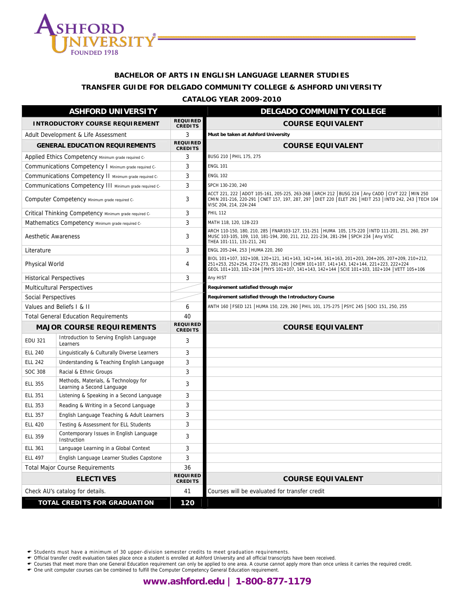

# **BACHELOR OF ARTS IN ENGLISH LANGUAGE LEARNER STUDIES TRANSFER GUIDE FOR DELGADO COMMUNITY COLLEGE & ASHFORD UNIVERSITY**

#### **CATALOG YEAR 2009-2010**

|                                                         | <b>ASHFORD UNIVERSITY</b>                                          |                                   | <b>DELGADO COMMUNITY COLLEGE</b>                                                                                                                                                                                                                                                       |
|---------------------------------------------------------|--------------------------------------------------------------------|-----------------------------------|----------------------------------------------------------------------------------------------------------------------------------------------------------------------------------------------------------------------------------------------------------------------------------------|
|                                                         | <b>INTRODUCTORY COURSE REQUIREMENT</b>                             | <b>REQUIRED</b><br><b>CREDITS</b> | <b>COURSE EQUIVALENT</b>                                                                                                                                                                                                                                                               |
|                                                         | Adult Development & Life Assessment                                | 3                                 | Must be taken at Ashford University                                                                                                                                                                                                                                                    |
|                                                         | <b>GENERAL EDUCATION REQUIREMENTS</b>                              | <b>REQUIRED</b><br><b>CREDITS</b> | <b>COURSE EQUIVALENT</b>                                                                                                                                                                                                                                                               |
|                                                         | Applied Ethics Competency Minimum grade required C-                | 3                                 | BUSG 210   PHIL 175, 275                                                                                                                                                                                                                                                               |
|                                                         | Communications Competency I Minimum grade required C-              | 3                                 | <b>ENGL 101</b>                                                                                                                                                                                                                                                                        |
|                                                         | Communications Competency II Minimum grade required C-             | 3                                 | <b>ENGL 102</b>                                                                                                                                                                                                                                                                        |
| Communications Competency III Minimum grade required C- |                                                                    | 3                                 | SPCH 130-230, 240                                                                                                                                                                                                                                                                      |
|                                                         | Computer Competency Minimum grade required C-                      | 3                                 | ACCT 221, 222   ADOT 105-161, 205-225, 263-268   ARCH 212   BUSG 224   Any CADD   CIVT 222   MIN 250<br>CMIN 201-216, 220-291 CNET 157, 197, 287, 297 DIET 220 ELET 291 HEIT 253   INTD 242, 243   TECH 104<br>VISC 204, 214, 224-244                                                  |
|                                                         | Critical Thinking Competency Minimum grade required C-             | 3                                 | <b>PHIL 112</b>                                                                                                                                                                                                                                                                        |
|                                                         | Mathematics Competency Minimum grade required C-                   | 3                                 | MATH 118, 120, 128-223                                                                                                                                                                                                                                                                 |
| <b>Aesthetic Awareness</b>                              |                                                                    | 3                                 | ARCH 110-150, 180, 210, 285   FNAR103-127, 151-251   HUMA 105, 175-220   INTD 111-201, 251, 260, 297<br>MUSC 103-105, 109, 110, 181-194, 200, 211, 212, 221-234, 281-294 SPCH 234 Any VISC<br>THEA 101-111, 131-211, 241                                                               |
| Literature                                              |                                                                    | 3                                 | ENGL 205-244, 253 HUMA 220, 260                                                                                                                                                                                                                                                        |
| Physical World                                          |                                                                    | 4                                 | BIOL 101+107, 102+108, 120+121, 141+143, 142+144, 161+163, 201+203, 204+205, 207+209, 210+212,<br>251+253, 252+254, 272+273, 281+283 CHEM 101+107, 141+143, 142+144, 221+223, 222+224<br>GEOL 101+103, 102+104   PHYS 101+107, 141+143, 142+144   SCIE 101+103, 102+104   VETT 105+106 |
|                                                         | <b>Historical Perspectives</b>                                     | 3                                 | Any HIST                                                                                                                                                                                                                                                                               |
|                                                         | <b>Multicultural Perspectives</b>                                  |                                   | Requirement satisfied through major                                                                                                                                                                                                                                                    |
| Social Perspectives                                     |                                                                    |                                   | Requirement satisfied through the Introductory Course                                                                                                                                                                                                                                  |
|                                                         | Values and Beliefs I & II                                          | 6                                 | ANTH 160   FSED 121   HUMA 150, 229, 260   PHIL 101, 175-275   PSYC 245   SOCI 151, 250, 255                                                                                                                                                                                           |
|                                                         | <b>Total General Education Requirements</b>                        | 40                                |                                                                                                                                                                                                                                                                                        |
|                                                         | <b>MAJOR COURSE REQUIREMENTS</b>                                   | <b>REQUIRED</b><br><b>CREDITS</b> | <b>COURSE EQUIVALENT</b>                                                                                                                                                                                                                                                               |
| <b>EDU 321</b>                                          | Introduction to Serving English Language<br>Learners               | 3                                 |                                                                                                                                                                                                                                                                                        |
| <b>ELL 240</b>                                          | Linguistically & Culturally Diverse Learners                       | 3                                 |                                                                                                                                                                                                                                                                                        |
| <b>ELL 242</b>                                          | Understanding & Teaching English Language                          | 3                                 |                                                                                                                                                                                                                                                                                        |
| <b>SOC 308</b>                                          | Racial & Ethnic Groups                                             | 3                                 |                                                                                                                                                                                                                                                                                        |
| <b>ELL 355</b>                                          | Methods, Materials, & Technology for<br>Learning a Second Language | 3                                 |                                                                                                                                                                                                                                                                                        |
| <b>ELL 351</b>                                          | Listening & Speaking in a Second Language                          | 3                                 |                                                                                                                                                                                                                                                                                        |
| <b>ELL 353</b>                                          | Reading & Writing in a Second Language                             | 3                                 |                                                                                                                                                                                                                                                                                        |
| <b>ELL 357</b>                                          | English Language Teaching & Adult Learners                         | 3                                 |                                                                                                                                                                                                                                                                                        |
| <b>ELL 420</b>                                          | Testing & Assessment for ELL Students                              | 3                                 |                                                                                                                                                                                                                                                                                        |
| <b>ELL 359</b>                                          | Contemporary Issues in English Language<br>Instruction             | 3                                 |                                                                                                                                                                                                                                                                                        |
| <b>ELL 361</b>                                          | Language Learning in a Global Context                              | 3                                 |                                                                                                                                                                                                                                                                                        |
| <b>ELL 497</b>                                          | English Language Learner Studies Capstone                          | 3                                 |                                                                                                                                                                                                                                                                                        |
|                                                         | <b>Total Major Course Requirements</b>                             | 36                                |                                                                                                                                                                                                                                                                                        |
|                                                         | <b>ELECTIVES</b>                                                   | <b>REQUIRED</b><br><b>CREDITS</b> | <b>COURSE EQUIVALENT</b>                                                                                                                                                                                                                                                               |
|                                                         | Check AU's catalog for details.                                    | 41                                | Courses will be evaluated for transfer credit                                                                                                                                                                                                                                          |
|                                                         | TOTAL CREDITS FOR GRADUATION                                       | 120                               |                                                                                                                                                                                                                                                                                        |

← Students must have a minimum of 30 upper-division semester credits to meet graduation requirements.<br>← Official transfer credit evaluation takes place once a student is enrolled at Ashford University and all official tra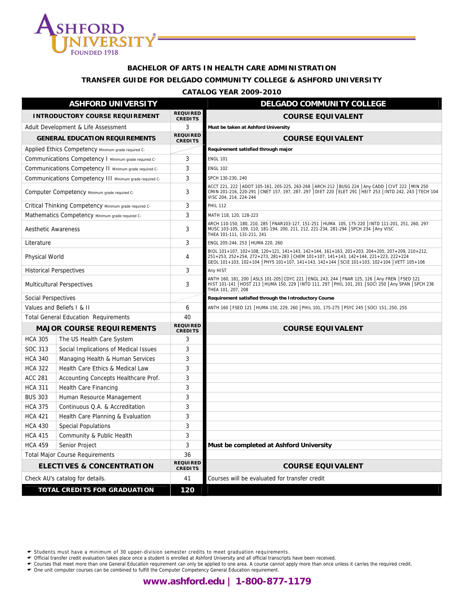

#### **BACHELOR OF ARTS IN HEALTH CARE ADMINISTRATION**

#### **TRANSFER GUIDE FOR DELGADO COMMUNITY COLLEGE & ASHFORD UNIVERSITY**

#### **CATALOG YEAR 2009-2010**

|                                | <b>ASHFORD UNIVERSITY</b>                               |                                   | <b>DELGADO COMMUNITY COLLEGE</b>                                                                                                                                                                                                                                                       |
|--------------------------------|---------------------------------------------------------|-----------------------------------|----------------------------------------------------------------------------------------------------------------------------------------------------------------------------------------------------------------------------------------------------------------------------------------|
|                                | <b>INTRODUCTORY COURSE REQUIREMENT</b>                  | <b>REQUIRED</b><br><b>CREDITS</b> | <b>COURSE EQUIVALENT</b>                                                                                                                                                                                                                                                               |
|                                | Adult Development & Life Assessment                     | 3                                 | Must be taken at Ashford University                                                                                                                                                                                                                                                    |
|                                | <b>GENERAL EDUCATION REQUIREMENTS</b>                   | <b>REQUIRED</b><br><b>CREDITS</b> | <b>COURSE EQUIVALENT</b>                                                                                                                                                                                                                                                               |
|                                | Applied Ethics Competency Minimum grade required C-     |                                   | Requirement satisfied through major                                                                                                                                                                                                                                                    |
|                                | Communications Competency I Minimum grade required C-   | 3                                 | <b>ENGL 101</b>                                                                                                                                                                                                                                                                        |
|                                | Communications Competency II Minimum grade required C-  | 3                                 | <b>ENGL 102</b>                                                                                                                                                                                                                                                                        |
|                                | Communications Competency III Minimum grade required C- | 3                                 | SPCH 130-230, 240                                                                                                                                                                                                                                                                      |
|                                | Computer Competency Minimum grade required C-           | 3                                 | ACCT 221, 222   ADOT 105-161, 205-225, 263-268   ARCH 212   BUSG 224   Any CADD   CIVT 222   MIN 250<br>CMIN 201-216, 220-291 CNET 157, 197, 287, 297 DIET 220 ELET 291 HEIT 253   INTD 242, 243   TECH 104<br>VISC 204, 214, 224-244                                                  |
|                                | Critical Thinking Competency Minimum grade required C-  | 3                                 | <b>PHIL 112</b>                                                                                                                                                                                                                                                                        |
|                                | Mathematics Competency Minimum grade required C-        | 3                                 | MATH 118, 120, 128-223                                                                                                                                                                                                                                                                 |
| <b>Aesthetic Awareness</b>     |                                                         | 3                                 | ARCH 110-150, 180, 210, 285   FNAR103-127, 151-251   HUMA 105, 175-220   INTD 111-201, 251, 260, 297<br>MUSC 103-105, 109, 110, 181-194, 200, 211, 212, 221-234, 281-294 SPCH 234 Any VISC<br>THEA 101-111, 131-211, 241                                                               |
| Literature                     |                                                         | 3                                 | ENGL 205-244, 253   HUMA 220, 260                                                                                                                                                                                                                                                      |
| <b>Physical World</b>          |                                                         | 4                                 | BIOL 101+107, 102+108, 120+121, 141+143, 142+144, 161+163, 201+203, 204+205, 207+209, 210+212,<br>251+253, 252+254, 272+273, 281+283 CHEM 101+107, 141+143, 142+144, 221+223, 222+224<br>GEOL 101+103, 102+104   PHYS 101+107, 141+143, 142+144   SCIE 101+103, 102+104   VETT 105+106 |
| <b>Historical Perspectives</b> |                                                         | 3                                 | Any HIST                                                                                                                                                                                                                                                                               |
|                                | <b>Multicultural Perspectives</b>                       | 3                                 | ANTH 160, 181, 200   ASLS 101-205   CDYC 221   ENGL 243, 244   FNAR 125, 126   Any FREN   FSED 121<br>HIST 101-141   HOST 213   HUMA 150, 229   INTD 111, 297   PHIL 101, 201   SOCI 250   Any SPAN   SPCH 236<br>THEA 101, 207, 208                                                   |
| Social Perspectives            |                                                         |                                   | Requirement satisfied through the Introductory Course                                                                                                                                                                                                                                  |
|                                | Values and Beliefs I & II                               | 6                                 | ANTH 160   FSED 121   HUMA 150, 229, 260   PHIL 101, 175-275   PSYC 245   SOCI 151, 250, 255                                                                                                                                                                                           |
|                                | <b>Total General Education Requirements</b>             | 40                                |                                                                                                                                                                                                                                                                                        |
|                                | <b>MAJOR COURSE REQUIREMENTS</b>                        | <b>REQUIRED</b><br><b>CREDITS</b> | <b>COURSE EQUIVALENT</b>                                                                                                                                                                                                                                                               |
| <b>HCA 305</b>                 | The US Health Care System                               | 3                                 |                                                                                                                                                                                                                                                                                        |
| SOC 313                        | Social Implications of Medical Issues                   | 3                                 |                                                                                                                                                                                                                                                                                        |
| <b>HCA 340</b>                 | Managing Health & Human Services                        | 3                                 |                                                                                                                                                                                                                                                                                        |
| <b>HCA 322</b>                 | Health Care Ethics & Medical Law                        | 3                                 |                                                                                                                                                                                                                                                                                        |
| <b>ACC 281</b>                 | Accounting Concepts Healthcare Prof.                    | 3                                 |                                                                                                                                                                                                                                                                                        |
| <b>HCA 311</b>                 | <b>Health Care Financing</b>                            | 3                                 |                                                                                                                                                                                                                                                                                        |
| <b>BUS 303</b>                 | Human Resource Management                               | 3                                 |                                                                                                                                                                                                                                                                                        |
| <b>HCA 375</b>                 | Continuous Q.A. & Accreditation                         | 3                                 |                                                                                                                                                                                                                                                                                        |
| <b>HCA 421</b>                 | Health Care Planning & Evaluation                       | 3                                 |                                                                                                                                                                                                                                                                                        |
| <b>HCA 430</b>                 | <b>Special Populations</b>                              | 3                                 |                                                                                                                                                                                                                                                                                        |
| <b>HCA 415</b>                 | Community & Public Health                               | 3                                 |                                                                                                                                                                                                                                                                                        |
| <b>HCA 459</b>                 | Senior Project                                          | 3                                 | Must be completed at Ashford University                                                                                                                                                                                                                                                |
|                                | <b>Total Major Course Requirements</b>                  | 36                                |                                                                                                                                                                                                                                                                                        |
|                                | <b>ELECTIVES &amp; CONCENTRATION</b>                    | <b>REQUIRED</b><br><b>CREDITS</b> | <b>COURSE EQUIVALENT</b>                                                                                                                                                                                                                                                               |
|                                | Check AU's catalog for details.                         | 41                                | Courses will be evaluated for transfer credit                                                                                                                                                                                                                                          |
|                                | <b>TOTAL CREDITS FOR GRADUATION</b>                     | 120                               |                                                                                                                                                                                                                                                                                        |

← Students must have a minimum of 30 upper-division semester credits to meet graduation requirements.<br>← Official transfer credit evaluation takes place once a student is enrolled at Ashford University and all official tra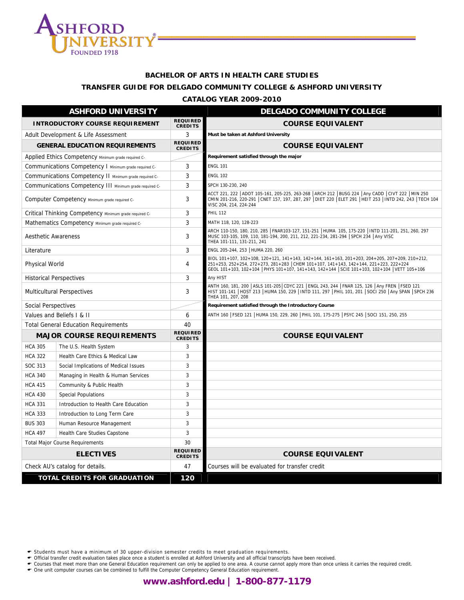

# **BACHELOR OF ARTS IN HEALTH CARE STUDIES**

## **TRANSFER GUIDE FOR DELGADO COMMUNITY COLLEGE & ASHFORD UNIVERSITY**

#### **CATALOG YEAR 2009-2010**

|                            | <b>ASHFORD UNIVERSITY</b>                               |                                   | <b>DELGADO COMMUNITY COLLEGE</b>                                                                                                                                                                                                                                                       |
|----------------------------|---------------------------------------------------------|-----------------------------------|----------------------------------------------------------------------------------------------------------------------------------------------------------------------------------------------------------------------------------------------------------------------------------------|
|                            | <b>INTRODUCTORY COURSE REQUIREMENT</b>                  | <b>REQUIRED</b><br><b>CREDITS</b> | <b>COURSE EQUIVALENT</b>                                                                                                                                                                                                                                                               |
|                            | Adult Development & Life Assessment                     | 3                                 | Must be taken at Ashford University                                                                                                                                                                                                                                                    |
|                            | <b>GENERAL EDUCATION REQUIREMENTS</b>                   | <b>REQUIRED</b><br><b>CREDITS</b> | <b>COURSE EQUIVALENT</b>                                                                                                                                                                                                                                                               |
|                            | Applied Ethics Competency Minimum grade required C-     |                                   | Requirement satisfied through the major                                                                                                                                                                                                                                                |
|                            | Communications Competency I Minimum grade required C-   | 3                                 | <b>ENGL 101</b>                                                                                                                                                                                                                                                                        |
|                            | Communications Competency II Minimum grade required C-  | 3                                 | <b>ENGL 102</b>                                                                                                                                                                                                                                                                        |
|                            | Communications Competency III Minimum grade required C- | 3                                 | SPCH 130-230, 240                                                                                                                                                                                                                                                                      |
|                            | Computer Competency Minimum grade required C-           | 3                                 | ACCT 221, 222 ADOT 105-161, 205-225, 263-268 ARCH 212 BUSG 224 Any CADD CIVT 222 MIN 250<br>CMIN 201-216, 220-291 CNET 157, 197, 287, 297 DIET 220 ELET 291 HEIT 253   INTD 242, 243   TECH 104<br>VISC 204, 214, 224-244                                                              |
|                            | Critical Thinking Competency Minimum grade required C-  | 3                                 | <b>PHIL 112</b>                                                                                                                                                                                                                                                                        |
|                            | Mathematics Competency Minimum grade required C-        | 3                                 | MATH 118, 120, 128-223                                                                                                                                                                                                                                                                 |
| <b>Aesthetic Awareness</b> |                                                         | 3                                 | ARCH 110-150, 180, 210, 285   FNAR103-127, 151-251   HUMA 105, 175-220   INTD 111-201, 251, 260, 297<br>MUSC 103-105, 109, 110, 181-194, 200, 211, 212, 221-234, 281-294 SPCH 234 Any VISC<br>THEA 101-111, 131-211, 241                                                               |
| Literature                 |                                                         | 3                                 | ENGL 205-244, 253   HUMA 220, 260                                                                                                                                                                                                                                                      |
| Physical World             |                                                         | 4                                 | BIOL 101+107, 102+108, 120+121, 141+143, 142+144, 161+163, 201+203, 204+205, 207+209, 210+212,<br>251+253, 252+254, 272+273, 281+283 CHEM 101+107, 141+143, 142+144, 221+223, 222+224<br>GEOL 101+103, 102+104   PHYS 101+107, 141+143, 142+144   SCIE 101+103, 102+104   VETT 105+106 |
|                            | <b>Historical Perspectives</b>                          | 3                                 | Any HIST                                                                                                                                                                                                                                                                               |
|                            | <b>Multicultural Perspectives</b>                       | 3                                 | ANTH 160, 181, 200   ASLS 101-205   CDYC 221   ENGL 243, 244   FNAR 125, 126   Any FREN   FSED 121<br>HIST 101-141   HOST 213   HUMA 150, 229   INTD 111, 297   PHIL 101, 201   SOCI 250   Any SPAN   SPCH 236<br>THEA 101, 207, 208                                                   |
| Social Perspectives        |                                                         |                                   | Requirement satisfied through the Introductory Course                                                                                                                                                                                                                                  |
|                            | Values and Beliefs I & II                               | 6                                 | ANTH 160   FSED 121   HUMA 150, 229, 260   PHIL 101, 175-275   PSYC 245   SOCI 151, 250, 255                                                                                                                                                                                           |
|                            | <b>Total General Education Requirements</b>             | 40                                |                                                                                                                                                                                                                                                                                        |
|                            | <b>MAJOR COURSE REQUIREMENTS</b>                        | <b>REQUIRED</b><br><b>CREDITS</b> | <b>COURSE EQUIVALENT</b>                                                                                                                                                                                                                                                               |
| <b>HCA 305</b>             | The U.S. Health System                                  | 3                                 |                                                                                                                                                                                                                                                                                        |
| <b>HCA 322</b>             | Health Care Ethics & Medical Law                        | 3                                 |                                                                                                                                                                                                                                                                                        |
| SOC 313                    | Social Implications of Medical Issues                   | 3                                 |                                                                                                                                                                                                                                                                                        |
| <b>HCA 340</b>             | Managing in Health & Human Services                     | 3                                 |                                                                                                                                                                                                                                                                                        |
| <b>HCA 415</b>             | Community & Public Health                               | 3                                 |                                                                                                                                                                                                                                                                                        |
| <b>HCA 430</b>             | <b>Special Populations</b>                              | 3                                 |                                                                                                                                                                                                                                                                                        |
| <b>HCA 331</b>             | Introduction to Health Care Education                   | 3                                 |                                                                                                                                                                                                                                                                                        |
| <b>HCA 333</b>             | Introduction to Long Term Care                          | 3                                 |                                                                                                                                                                                                                                                                                        |
| <b>BUS 303</b>             | Human Resource Management                               | 3                                 |                                                                                                                                                                                                                                                                                        |
| <b>HCA 497</b>             | Health Care Studies Capstone                            | 3                                 |                                                                                                                                                                                                                                                                                        |
|                            | <b>Total Major Course Requirements</b>                  | 30                                |                                                                                                                                                                                                                                                                                        |
|                            | <b>ELECTIVES</b>                                        | <b>REQUIRED</b><br><b>CREDITS</b> | <b>COURSE EQUIVALENT</b>                                                                                                                                                                                                                                                               |
|                            | Check AU's catalog for details.                         | 47                                | Courses will be evaluated for transfer credit                                                                                                                                                                                                                                          |
|                            | <b>TOTAL CREDITS FOR GRADUATION</b>                     | 120                               |                                                                                                                                                                                                                                                                                        |

← Students must have a minimum of 30 upper-division semester credits to meet graduation requirements.<br>← Official transfer credit evaluation takes place once a student is enrolled at Ashford University and all official tra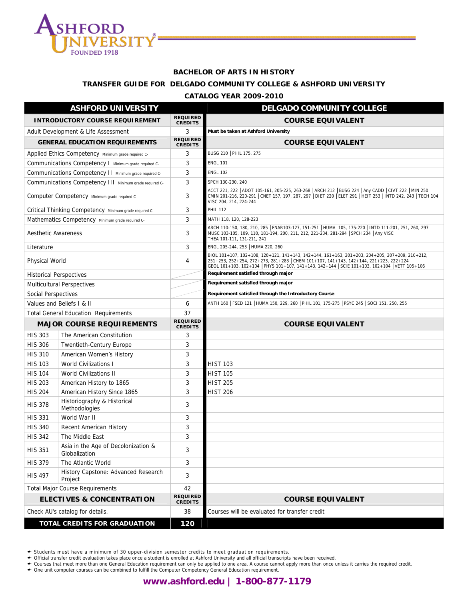

#### **BACHELOR OF ARTS IN HISTORY**

#### **TRANSFER GUIDE FOR DELGADO COMMUNITY COLLEGE & ASHFORD UNIVERSITY**

#### **CATALOG YEAR 2009-2010**

|                            | <b>ASHFORD UNIVERSITY</b>                               |                                   | <b>DELGADO COMMUNITY COLLEGE</b>                                                                                                                                                                                                                                                       |
|----------------------------|---------------------------------------------------------|-----------------------------------|----------------------------------------------------------------------------------------------------------------------------------------------------------------------------------------------------------------------------------------------------------------------------------------|
|                            | <b>INTRODUCTORY COURSE REQUIREMENT</b>                  | <b>REQUIRED</b><br><b>CREDITS</b> | <b>COURSE EQUIVALENT</b>                                                                                                                                                                                                                                                               |
|                            | Adult Development & Life Assessment                     | 3                                 | Must be taken at Ashford University                                                                                                                                                                                                                                                    |
|                            | <b>GENERAL EDUCATION REQUIREMENTS</b>                   | <b>REQUIRED</b><br><b>CREDITS</b> | <b>COURSE EQUIVALENT</b>                                                                                                                                                                                                                                                               |
|                            | Applied Ethics Competency Minimum grade required C-     | 3                                 | BUSG 210   PHIL 175, 275                                                                                                                                                                                                                                                               |
|                            | Communications Competency I Minimum grade required C-   | 3                                 | <b>ENGL 101</b>                                                                                                                                                                                                                                                                        |
|                            | Communications Competency II Minimum grade required C-  | 3                                 | <b>ENGL 102</b>                                                                                                                                                                                                                                                                        |
|                            | Communications Competency III Minimum grade required C- | 3                                 | SPCH 130-230, 240                                                                                                                                                                                                                                                                      |
|                            | Computer Competency Minimum grade required C-           | 3                                 | ACCT 221, 222   ADOT 105-161, 205-225, 263-268   ARCH 212   BUSG 224   Any CADD   CIVT 222   MIN 250<br>CMIN 201-216, 220-291   CNET 157, 197, 287, 297   DIET 220   ELET 291   HEIT 253   INTD 242, 243   TECH 104<br>VISC 204, 214, 224-244                                          |
|                            | Critical Thinking Competency Minimum grade required C-  | 3                                 | <b>PHIL 112</b>                                                                                                                                                                                                                                                                        |
|                            | Mathematics Competency Minimum grade required C-        | 3                                 | MATH 118, 120, 128-223                                                                                                                                                                                                                                                                 |
| <b>Aesthetic Awareness</b> |                                                         | 3                                 | ARCH 110-150, 180, 210, 285   FNAR103-127, 151-251   HUMA 105, 175-220   INTD 111-201, 251, 260, 297<br>MUSC 103-105, 109, 110, 181-194, 200, 211, 212, 221-234, 281-294 SPCH 234 Any VISC<br>THEA 101-111, 131-211, 241                                                               |
| Literature                 |                                                         | 3                                 | ENGL 205-244, 253   HUMA 220, 260                                                                                                                                                                                                                                                      |
| Physical World             |                                                         | 4                                 | BIOL 101+107, 102+108, 120+121, 141+143, 142+144, 161+163, 201+203, 204+205, 207+209, 210+212,<br>251+253, 252+254, 272+273, 281+283 CHEM 101+107, 141+143, 142+144, 221+223, 222+224<br>GEOL 101+103, 102+104   PHYS 101+107, 141+143, 142+144   SCIE 101+103, 102+104   VETT 105+106 |
|                            | <b>Historical Perspectives</b>                          |                                   | Requirement satisfied through major                                                                                                                                                                                                                                                    |
|                            | <b>Multicultural Perspectives</b>                       |                                   | Requirement satisfied through major                                                                                                                                                                                                                                                    |
| Social Perspectives        |                                                         |                                   | Requirement satisfied through the Introductory Course                                                                                                                                                                                                                                  |
|                            | Values and Beliefs I & II                               | 6                                 | ANTH 160   FSED 121   HUMA 150, 229, 260   PHIL 101, 175-275   PSYC 245   SOCI 151, 250, 255                                                                                                                                                                                           |
|                            | <b>Total General Education Requirements</b>             | 37                                |                                                                                                                                                                                                                                                                                        |
|                            |                                                         | <b>REQUIRED</b>                   |                                                                                                                                                                                                                                                                                        |
|                            | <b>MAJOR COURSE REQUIREMENTS</b>                        | <b>CREDITS</b>                    | <b>COURSE EQUIVALENT</b>                                                                                                                                                                                                                                                               |
| <b>HIS 303</b>             | The American Constitution                               | 3                                 |                                                                                                                                                                                                                                                                                        |
| <b>HIS 306</b>             | <b>Twentieth-Century Europe</b>                         | 3                                 |                                                                                                                                                                                                                                                                                        |
| <b>HIS 310</b>             | American Women's History                                | 3                                 |                                                                                                                                                                                                                                                                                        |
| <b>HIS 103</b>             | <b>World Civilizations I</b>                            | 3                                 | <b>HIST 103</b>                                                                                                                                                                                                                                                                        |
| <b>HIS 104</b>             | <b>World Civilizations II</b>                           | 3                                 | <b>HIST 105</b>                                                                                                                                                                                                                                                                        |
| <b>HIS 203</b>             | American History to 1865                                | 3                                 | <b>HIST 205</b>                                                                                                                                                                                                                                                                        |
| <b>HIS 204</b>             | American History Since 1865                             | 3                                 | <b>HIST 206</b>                                                                                                                                                                                                                                                                        |
| <b>HIS 378</b>             | Historiography & Historical<br>Methodologies            | 3                                 |                                                                                                                                                                                                                                                                                        |
| <b>HIS 331</b>             | World War II                                            | 3                                 |                                                                                                                                                                                                                                                                                        |
| <b>HIS 340</b>             | Recent American History                                 | 3                                 |                                                                                                                                                                                                                                                                                        |
| <b>HIS 342</b>             | The Middle East                                         | 3                                 |                                                                                                                                                                                                                                                                                        |
| <b>HIS 351</b>             | Asia in the Age of Decolonization &<br>Globalization    | 3                                 |                                                                                                                                                                                                                                                                                        |
| <b>HIS 379</b>             | The Atlantic World                                      | 3                                 |                                                                                                                                                                                                                                                                                        |
| <b>HIS 497</b>             | History Capstone: Advanced Research<br>Project          | 3                                 |                                                                                                                                                                                                                                                                                        |
|                            | <b>Total Major Course Requirements</b>                  | 42                                |                                                                                                                                                                                                                                                                                        |
|                            | <b>ELECTIVES &amp; CONCENTRATION</b>                    | <b>REQUIRED</b><br><b>CREDITS</b> | <b>COURSE EQUIVALENT</b>                                                                                                                                                                                                                                                               |
|                            | Check AU's catalog for details.                         | 38                                | Courses will be evaluated for transfer credit                                                                                                                                                                                                                                          |

← Students must have a minimum of 30 upper-division semester credits to meet graduation requirements.<br>← Official transfer credit evaluation takes place once a student is enrolled at Ashford University and all official tra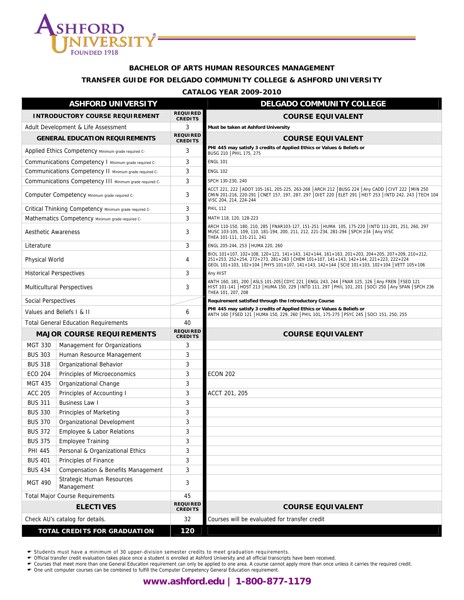

#### **BACHELOR OF ARTS HUMAN RESOURCES MANAGEMENT**

#### **TRANSFER GUIDE FOR DELGADO COMMUNITY COLLEGE & ASHFORD UNIVERSITY**

#### **CATALOG YEAR 2009-2010**

| <b>ASHFORD UNIVERSITY</b>              |                                                         |                                   | <b>DELGADO COMMUNITY COLLEGE</b>                                                                                                                                                                                                                                                       |
|----------------------------------------|---------------------------------------------------------|-----------------------------------|----------------------------------------------------------------------------------------------------------------------------------------------------------------------------------------------------------------------------------------------------------------------------------------|
| <b>INTRODUCTORY COURSE REQUIREMENT</b> |                                                         | <b>REQUIRED</b><br><b>CREDITS</b> | <b>COURSE EQUIVALENT</b>                                                                                                                                                                                                                                                               |
| Adult Development & Life Assessment    |                                                         | 3                                 | Must be taken at Ashford University                                                                                                                                                                                                                                                    |
|                                        | <b>GENERAL EDUCATION REQUIREMENTS</b>                   | <b>REQUIRED</b><br><b>CREDITS</b> | <b>COURSE EQUIVALENT</b>                                                                                                                                                                                                                                                               |
|                                        | Applied Ethics Competency Minimum grade required C-     | 3                                 | PHI 445 may satisfy 3 credits of Applied Ethics or Values & Beliefs or<br>BUSG 210   PHIL 175, 275                                                                                                                                                                                     |
|                                        | Communications Competency I Minimum grade required C-   | 3                                 | <b>ENGL 101</b>                                                                                                                                                                                                                                                                        |
|                                        | Communications Competency II Minimum grade required C-  | 3                                 | <b>ENGL 102</b>                                                                                                                                                                                                                                                                        |
|                                        | Communications Competency III Minimum grade required C- | 3                                 | SPCH 130-230, 240                                                                                                                                                                                                                                                                      |
|                                        | Computer Competency Minimum grade required C-           | 3                                 | ACCT 221, 222   ADOT 105-161, 205-225, 263-268   ARCH 212   BUSG 224   Any CADD   CIVT 222   MIN 250<br>CMIN 201-216, 220-291   CNET 157, 197, 287, 297   DIET 220   ELET 291   HEIT 253   INTD 242, 243   TECH 104<br>VISC 204, 214, 224-244                                          |
|                                        | Critical Thinking Competency Minimum grade required C-  | 3                                 | <b>PHIL 112</b>                                                                                                                                                                                                                                                                        |
|                                        | Mathematics Competency Minimum grade required C-        | 3                                 | MATH 118, 120, 128-223                                                                                                                                                                                                                                                                 |
| <b>Aesthetic Awareness</b>             |                                                         | 3                                 | ARCH 110-150, 180, 210, 285   FNAR103-127, 151-251   HUMA 105, 175-220   INTD 111-201, 251, 260, 297<br>MUSC 103-105, 109, 110, 181-194, 200, 211, 212, 221-234, 281-294 SPCH 234 Any VISC<br>THEA 101-111, 131-211, 241                                                               |
| Literature                             |                                                         | 3                                 | ENGL 205-244, 253   HUMA 220, 260                                                                                                                                                                                                                                                      |
| <b>Physical World</b>                  |                                                         | 4                                 | BIOL 101+107, 102+108, 120+121, 141+143, 142+144, 161+163, 201+203, 204+205, 207+209, 210+212,<br>251+253, 252+254, 272+273, 281+283 CHEM 101+107, 141+143, 142+144, 221+223, 222+224<br>GEOL 101+103, 102+104   PHYS 101+107, 141+143, 142+144   SCIE 101+103, 102+104   VETT 105+106 |
| <b>Historical Perspectives</b>         |                                                         | 3                                 | Any HIST                                                                                                                                                                                                                                                                               |
| <b>Multicultural Perspectives</b>      |                                                         | 3                                 | ANTH 160, 181, 200   ASLS 101-205  CDYC 221   ENGL 243, 244   FNAR 125, 126   Any FREN   FSED 121<br>HIST 101-141   HOST 213   HUMA 150, 229   INTD 111, 297   PHIL 101, 201   SOCI 250   Any SPAN   SPCH 236<br>THEA 101, 207, 208                                                    |
| Social Perspectives                    |                                                         |                                   | Requirement satisfied through the Introductory Course                                                                                                                                                                                                                                  |
|                                        | Values and Beliefs I & II                               | 6                                 | PHI 445 may satisfy 3 credits of Applied Ethics or Values & Beliefs or<br>ANTH 160   FSED 121   HUMA 150, 229, 260   PHIL 101, 175-275   PSYC 245   SOCI 151, 250, 255                                                                                                                 |
|                                        | <b>Total General Education Requirements</b>             | 40                                |                                                                                                                                                                                                                                                                                        |
| <b>MAJOR COURSE REQUIREMENTS</b>       |                                                         | <b>REQUIRED</b><br><b>CREDITS</b> | <b>COURSE EQUIVALENT</b>                                                                                                                                                                                                                                                               |
| <b>MGT 330</b>                         | Management for Organizations                            | 3                                 |                                                                                                                                                                                                                                                                                        |
| <b>BUS 303</b>                         | Human Resource Management                               | 3                                 |                                                                                                                                                                                                                                                                                        |
| <b>BUS 318</b>                         | Organizational Behavior                                 | 3                                 |                                                                                                                                                                                                                                                                                        |
| <b>ECO 204</b>                         | Principles of Microeconomics                            | 3                                 | <b>ECON 202</b>                                                                                                                                                                                                                                                                        |
| <b>MGT 435</b>                         | Organizational Change                                   | 3                                 |                                                                                                                                                                                                                                                                                        |
| <b>ACC 205</b>                         | Principles of Accounting I                              | 3                                 | ACCT 201, 205                                                                                                                                                                                                                                                                          |
| <b>BUS 311</b>                         | <b>Business Law I</b>                                   | 3                                 |                                                                                                                                                                                                                                                                                        |
| <b>BUS 330</b>                         | Principles of Marketing                                 | 3                                 |                                                                                                                                                                                                                                                                                        |
| <b>BUS 370</b>                         | Organizational Development                              | 3                                 |                                                                                                                                                                                                                                                                                        |
| <b>BUS 372</b>                         | Employee & Labor Relations                              | 3                                 |                                                                                                                                                                                                                                                                                        |
| <b>BUS 375</b>                         | <b>Employee Training</b>                                | 3                                 |                                                                                                                                                                                                                                                                                        |
| <b>PHI 445</b>                         | Personal & Organizational Ethics                        | 3                                 |                                                                                                                                                                                                                                                                                        |
| <b>BUS 401</b>                         | Principles of Finance                                   | 3                                 |                                                                                                                                                                                                                                                                                        |
| <b>BUS 434</b>                         | Compensation & Benefits Management                      | 3                                 |                                                                                                                                                                                                                                                                                        |
| <b>MGT 490</b>                         | <b>Strategic Human Resources</b><br>Management          | 3<br>45                           |                                                                                                                                                                                                                                                                                        |
|                                        | <b>Total Major Course Requirements</b>                  |                                   |                                                                                                                                                                                                                                                                                        |
|                                        | <b>ELECTIVES</b>                                        | <b>REQUIRED</b><br><b>CREDITS</b> | <b>COURSE EQUIVALENT</b>                                                                                                                                                                                                                                                               |
|                                        | Check AU's catalog for details.                         |                                   | Courses will be evaluated for transfer credit                                                                                                                                                                                                                                          |
| <b>TOTAL CREDITS FOR GRADUATION</b>    |                                                         | 120                               |                                                                                                                                                                                                                                                                                        |

← Students must have a minimum of 30 upper-division semester credits to meet graduation requirements.<br>← Official transfer credit evaluation takes place once a student is enrolled at Ashford University and all official tra

← Courses that meet more than one General Education requirement can only be applied to one area. A course cannot apply more than once unless it carries the required credit.<br>← One unit computer courses can be combined to f

## **www.ashford.edu | 1-800-877-1179**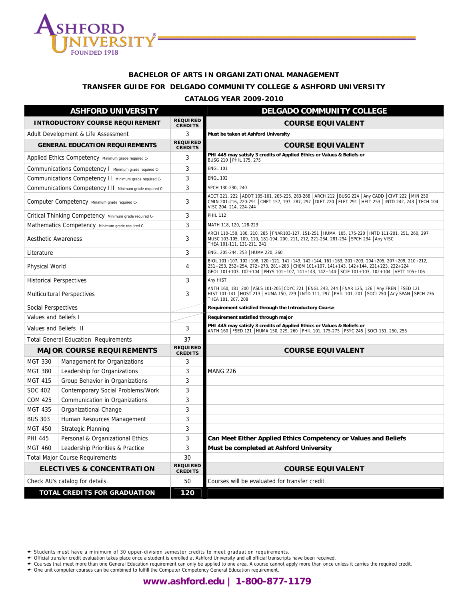

# **BACHELOR OF ARTS IN ORGANIZATIONAL MANAGEMENT TRANSFER GUIDE FOR DELGADO COMMUNITY COLLEGE & ASHFORD UNIVERSITY**

#### **CATALOG YEAR 2009-2010**

| <b>ASHFORD UNIVERSITY</b>              |                                                         |                                   | <b>DELGADO COMMUNITY COLLEGE</b>                                                                                                                                                                                                                                                 |
|----------------------------------------|---------------------------------------------------------|-----------------------------------|----------------------------------------------------------------------------------------------------------------------------------------------------------------------------------------------------------------------------------------------------------------------------------|
| <b>INTRODUCTORY COURSE REQUIREMENT</b> |                                                         | <b>REQUIRED</b><br><b>CREDITS</b> | <b>COURSE EQUIVALENT</b>                                                                                                                                                                                                                                                         |
|                                        | Adult Development & Life Assessment                     | 3                                 | Must be taken at Ashford University                                                                                                                                                                                                                                              |
|                                        | <b>GENERAL EDUCATION REQUIREMENTS</b>                   | <b>REQUIRED</b><br><b>CREDITS</b> | <b>COURSE EQUIVALENT</b>                                                                                                                                                                                                                                                         |
|                                        | Applied Ethics Competency Minimum grade required C-     | 3                                 | PHI 445 may satisfy 3 credits of Applied Ethics or Values & Beliefs or<br>BUSG 210   PHIL 175, 275                                                                                                                                                                               |
|                                        | Communications Competency I Minimum grade required C-   | 3                                 | <b>ENGL 101</b>                                                                                                                                                                                                                                                                  |
|                                        | Communications Competency II Minimum grade required C-  | 3                                 | <b>ENGL 102</b>                                                                                                                                                                                                                                                                  |
|                                        | Communications Competency III Minimum grade required C- | 3                                 | SPCH 130-230, 240                                                                                                                                                                                                                                                                |
|                                        | Computer Competency Minimum grade required C-           | 3                                 | ACCT 221, 222   ADOT 105-161, 205-225, 263-268   ARCH 212   BUSG 224   Any CADD   CIVT 222   MIN 250<br>CMIN 201-216, 220-291   CNET 157, 197, 287, 297   DIET 220   ELET 291   HEIT 253   INTD 242, 243   TECH 104<br>VISC 204, 214, 224-244                                    |
|                                        | Critical Thinking Competency Minimum grade required C-  | 3                                 | <b>PHIL 112</b>                                                                                                                                                                                                                                                                  |
|                                        | Mathematics Competency Minimum grade required C-        | 3                                 | MATH 118, 120, 128-223                                                                                                                                                                                                                                                           |
| <b>Aesthetic Awareness</b>             |                                                         | 3                                 | ARCH 110-150, 180, 210, 285  FNAR103-127, 151-251  HUMA 105, 175-220  INTD 111-201, 251, 260, 297<br>MUSC 103-105, 109, 110, 181-194, 200, 211, 212, 221-234, 281-294 SPCH 234 Any VISC<br>THEA 101-111, 131-211, 241                                                            |
| Literature                             |                                                         | 3                                 | ENGL 205-244, 253   HUMA 220, 260                                                                                                                                                                                                                                                |
| <b>Physical World</b>                  |                                                         | 4                                 | BIOL 101+107, 102+108, 120+121, 141+143, 142+144, 161+163, 201+203, 204+205, 207+209, 210+212,<br>251+253, 252+254, 272+273, 281+283 CHEM 101+107, 141+143, 142+144, 221+223, 222+224<br>GEOL 101+103, 102+104 PHYS 101+107, 141+143, 142+144 SCIE 101+103, 102+104 VETT 105+106 |
| <b>Historical Perspectives</b>         |                                                         | 3                                 | Any HIST                                                                                                                                                                                                                                                                         |
| <b>Multicultural Perspectives</b>      |                                                         | 3                                 | ANTH 160, 181, 200   ASLS 101-205   CDYC 221   ENGL 243, 244   FNAR 125, 126   Any FREN   FSED 121<br>HIST 101-141 HOST 213 HUMA 150, 229   INTD 111, 297   PHIL 101, 201   SOCI 250   Any SPAN   SPCH 236<br>THEA 101, 207, 208                                                 |
| Social Perspectives                    |                                                         |                                   | Requirement satisfied through the Introductory Course                                                                                                                                                                                                                            |
| Values and Beliefs I                   |                                                         |                                   | Requirement satisfied through major                                                                                                                                                                                                                                              |
| Values and Beliefs II                  |                                                         | 3                                 | PHI 445 may satisfy 3 credits of Applied Ethics or Values & Beliefs or<br>ANTH 160   FSED 121   HUMA 150, 229, 260   PHIL 101, 175-275   PSYC 245   SOCI 151, 250, 255                                                                                                           |
|                                        | <b>Total General Education Requirements</b>             | 37                                |                                                                                                                                                                                                                                                                                  |
|                                        | <b>MAJOR COURSE REQUIREMENTS</b>                        | <b>REQUIRED</b><br><b>CREDITS</b> | <b>COURSE EQUIVALENT</b>                                                                                                                                                                                                                                                         |
| <b>MGT 330</b>                         | Management for Organizations                            | 3                                 |                                                                                                                                                                                                                                                                                  |
| <b>MGT 380</b>                         | Leadership for Organizations                            | 3                                 | <b>MANG 226</b>                                                                                                                                                                                                                                                                  |
| <b>MGT 415</b>                         | Group Behavior in Organizations                         | 3                                 |                                                                                                                                                                                                                                                                                  |
| SOC 402                                | Contemporary Social Problems/Work                       | 3                                 |                                                                                                                                                                                                                                                                                  |
| <b>COM 425</b>                         | Communication in Organizations                          | 3                                 |                                                                                                                                                                                                                                                                                  |
| <b>MGT 435</b>                         | Organizational Change                                   | 3                                 |                                                                                                                                                                                                                                                                                  |
| <b>BUS 303</b>                         | Human Resources Management                              | 3                                 |                                                                                                                                                                                                                                                                                  |
| <b>MGT 450</b>                         | Strategic Planning                                      | 3                                 |                                                                                                                                                                                                                                                                                  |
| PHI 445                                | Personal & Organizational Ethics                        | 3                                 | Can Meet Either Applied Ethics Competency or Values and Beliefs                                                                                                                                                                                                                  |
| <b>MGT 460</b>                         | Leadership Priorities & Practice                        | 3                                 | Must be completed at Ashford University                                                                                                                                                                                                                                          |
| <b>Total Major Course Requirements</b> |                                                         | 30                                |                                                                                                                                                                                                                                                                                  |
| <b>ELECTIVES &amp; CONCENTRATION</b>   |                                                         | <b>REQUIRED</b><br><b>CREDITS</b> | <b>COURSE EQUIVALENT</b>                                                                                                                                                                                                                                                         |
| Check AU's catalog for details.        |                                                         | 50                                | Courses will be evaluated for transfer credit                                                                                                                                                                                                                                    |
| TOTAL CREDITS FOR GRADUATION           |                                                         | 120                               |                                                                                                                                                                                                                                                                                  |

← Students must have a minimum of 30 upper-division semester credits to meet graduation requirements.<br>← Official transfer credit evaluation takes place once a student is enrolled at Ashford University and all official tra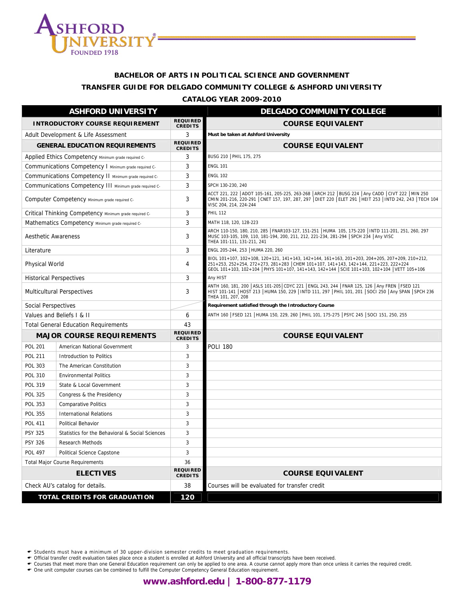

# **BACHELOR OF ARTS IN POLITICAL SCIENCE AND GOVERNMENT TRANSFER GUIDE FOR DELGADO COMMUNITY COLLEGE & ASHFORD UNIVERSITY**

#### **CATALOG YEAR 2009-2010**

| <b>ASHFORD UNIVERSITY</b>              |                                                         |                                   | <b>DELGADO COMMUNITY COLLEGE</b>                                                                                                                                                                                                                                                       |
|----------------------------------------|---------------------------------------------------------|-----------------------------------|----------------------------------------------------------------------------------------------------------------------------------------------------------------------------------------------------------------------------------------------------------------------------------------|
| <b>INTRODUCTORY COURSE REQUIREMENT</b> |                                                         | <b>REQUIRED</b><br><b>CREDITS</b> | <b>COURSE EQUIVALENT</b>                                                                                                                                                                                                                                                               |
| Adult Development & Life Assessment    |                                                         | 3                                 | Must be taken at Ashford University                                                                                                                                                                                                                                                    |
|                                        | <b>GENERAL EDUCATION REQUIREMENTS</b>                   | <b>REQUIRED</b><br><b>CREDITS</b> | <b>COURSE EQUIVALENT</b>                                                                                                                                                                                                                                                               |
|                                        | Applied Ethics Competency Minimum grade required C-     | 3                                 | BUSG 210   PHIL 175, 275                                                                                                                                                                                                                                                               |
|                                        | Communications Competency I Minimum grade required C-   | 3                                 | <b>ENGL 101</b>                                                                                                                                                                                                                                                                        |
|                                        | Communications Competency II Minimum grade required C-  | 3                                 | <b>ENGL 102</b>                                                                                                                                                                                                                                                                        |
|                                        | Communications Competency III Minimum grade required C- | 3                                 | SPCH 130-230, 240                                                                                                                                                                                                                                                                      |
|                                        | Computer Competency Minimum grade required C-           | 3                                 | ACCT 221, 222 ADOT 105-161, 205-225, 263-268 ARCH 212 BUSG 224 Any CADD CIVT 222 MIN 250<br>CMIN 201-216, 220-291   CNET 157, 197, 287, 297   DIET 220   ELET 291   HEIT 253   INTD 242, 243   TECH 104<br>VISC 204, 214, 224-244                                                      |
|                                        | Critical Thinking Competency Minimum grade required C-  | 3                                 | <b>PHIL 112</b>                                                                                                                                                                                                                                                                        |
|                                        | Mathematics Competency Minimum grade required C-        | 3                                 | MATH 118, 120, 128-223                                                                                                                                                                                                                                                                 |
| <b>Aesthetic Awareness</b>             |                                                         | 3                                 | ARCH 110-150, 180, 210, 285   FNAR103-127, 151-251   HUMA 105, 175-220   INTD 111-201, 251, 260, 297<br>MUSC 103-105, 109, 110, 181-194, 200, 211, 212, 221-234, 281-294 SPCH 234 Any VISC<br>THEA 101-111, 131-211, 241                                                               |
| Literature                             |                                                         | 3                                 | ENGL 205-244, 253   HUMA 220, 260                                                                                                                                                                                                                                                      |
| <b>Physical World</b>                  |                                                         | 4                                 | BIOL 101+107, 102+108, 120+121, 141+143, 142+144, 161+163, 201+203, 204+205, 207+209, 210+212,<br>251+253, 252+254, 272+273, 281+283 CHEM 101+107, 141+143, 142+144, 221+223, 222+224<br>GEOL 101+103, 102+104   PHYS 101+107, 141+143, 142+144   SCIE 101+103, 102+104   VETT 105+106 |
|                                        | <b>Historical Perspectives</b>                          | 3                                 | Any HIST                                                                                                                                                                                                                                                                               |
| <b>Multicultural Perspectives</b>      |                                                         | 3                                 | ANTH 160, 181, 200   ASLS 101-205   CDYC 221   ENGL 243, 244   FNAR 125, 126   Any FREN   FSED 121<br>HIST 101-141   HOST 213   HUMA 150, 229   INTD 111, 297   PHIL 101, 201   SOCI 250   Any SPAN   SPCH 236<br>THEA 101, 207, 208                                                   |
| Social Perspectives                    |                                                         |                                   | Requirement satisfied through the Introductory Course                                                                                                                                                                                                                                  |
|                                        | Values and Beliefs I & II                               | 6                                 | ANTH 160   FSED 121   HUMA 150, 229, 260   PHIL 101, 175-275   PSYC 245   SOCI 151, 250, 255                                                                                                                                                                                           |
|                                        | <b>Total General Education Requirements</b>             | 43                                |                                                                                                                                                                                                                                                                                        |
|                                        | <b>MAJOR COURSE REQUIREMENTS</b>                        | <b>REQUIRED</b><br><b>CREDITS</b> | <b>COURSE EQUIVALENT</b>                                                                                                                                                                                                                                                               |
| <b>POL 201</b>                         | American National Government                            | 3                                 | <b>POLI 180</b>                                                                                                                                                                                                                                                                        |
| <b>POL 211</b>                         | Introduction to Politics                                | 3                                 |                                                                                                                                                                                                                                                                                        |
| <b>POL 303</b>                         | The American Constitution                               | 3                                 |                                                                                                                                                                                                                                                                                        |
| <b>POL 310</b>                         | <b>Environmental Politics</b>                           | 3                                 |                                                                                                                                                                                                                                                                                        |
| POL 319                                | State & Local Government                                | 3                                 |                                                                                                                                                                                                                                                                                        |
| <b>POL 325</b>                         | Congress & the Presidency                               | 3                                 |                                                                                                                                                                                                                                                                                        |
| <b>POL 353</b>                         | <b>Comparative Politics</b>                             | 3                                 |                                                                                                                                                                                                                                                                                        |
| <b>POL 355</b>                         | <b>International Relations</b>                          | 3                                 |                                                                                                                                                                                                                                                                                        |
| <b>POL 411</b>                         | Political Behavior                                      | 3                                 |                                                                                                                                                                                                                                                                                        |
| <b>PSY 325</b>                         | Statistics for the Behavioral & Social Sciences         | 3                                 |                                                                                                                                                                                                                                                                                        |
| <b>PSY 326</b>                         | Research Methods                                        | 3                                 |                                                                                                                                                                                                                                                                                        |
| <b>POL 497</b>                         | Political Science Capstone                              | 3                                 |                                                                                                                                                                                                                                                                                        |
| <b>Total Major Course Requirements</b> |                                                         | 36                                |                                                                                                                                                                                                                                                                                        |
|                                        | <b>ELECTIVES</b>                                        | <b>REQUIRED</b><br><b>CREDITS</b> | <b>COURSE EQUIVALENT</b>                                                                                                                                                                                                                                                               |
| Check AU's catalog for details.        |                                                         | 38                                | Courses will be evaluated for transfer credit                                                                                                                                                                                                                                          |
| <b>TOTAL CREDITS FOR GRADUATION</b>    |                                                         | 120                               |                                                                                                                                                                                                                                                                                        |

← Students must have a minimum of 30 upper-division semester credits to meet graduation requirements.<br>← Official transfer credit evaluation takes place once a student is enrolled at Ashford University and all official tra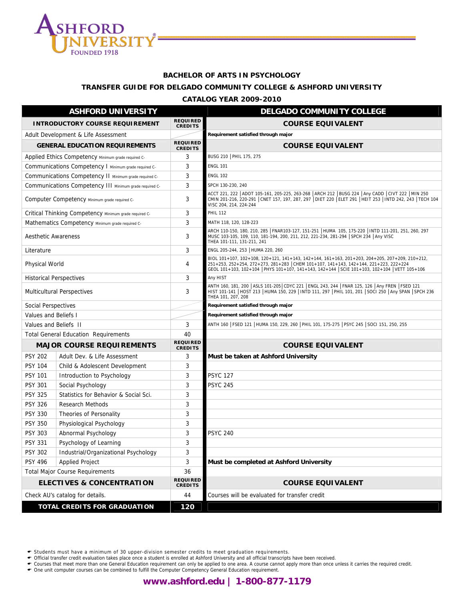

## **BACHELOR OF ARTS IN PSYCHOLOGY**

## **TRANSFER GUIDE FOR DELGADO COMMUNITY COLLEGE & ASHFORD UNIVERSITY**

#### **CATALOG YEAR 2009-2010**

| <b>ASHFORD UNIVERSITY</b>                   |                                                         |                                   | <b>DELGADO COMMUNITY COLLEGE</b>                                                                                                                                                                                                                                                       |
|---------------------------------------------|---------------------------------------------------------|-----------------------------------|----------------------------------------------------------------------------------------------------------------------------------------------------------------------------------------------------------------------------------------------------------------------------------------|
| <b>INTRODUCTORY COURSE REQUIREMENT</b>      |                                                         | <b>REQUIRED</b><br><b>CREDITS</b> | <b>COURSE EQUIVALENT</b>                                                                                                                                                                                                                                                               |
|                                             | Adult Development & Life Assessment                     |                                   | Requirement satisfied through major                                                                                                                                                                                                                                                    |
|                                             | <b>GENERAL EDUCATION REQUIREMENTS</b>                   | <b>REQUIRED</b><br><b>CREDITS</b> | <b>COURSE EQUIVALENT</b>                                                                                                                                                                                                                                                               |
|                                             | Applied Ethics Competency Minimum grade required C-     | 3                                 | BUSG 210   PHIL 175, 275                                                                                                                                                                                                                                                               |
|                                             | Communications Competency I Minimum grade required C-   | 3                                 | <b>ENGL 101</b>                                                                                                                                                                                                                                                                        |
|                                             | Communications Competency II Minimum grade required C-  | 3                                 | <b>ENGL 102</b>                                                                                                                                                                                                                                                                        |
|                                             | Communications Competency III Minimum grade required C- | 3                                 | SPCH 130-230, 240                                                                                                                                                                                                                                                                      |
|                                             | Computer Competency Minimum grade required C-           | 3                                 | ACCT 221, 222   ADOT 105-161, 205-225, 263-268   ARCH 212   BUSG 224   Any CADD   CIVT 222   MIN 250<br>CMIN 201-216, 220-291 CNET 157, 197, 287, 297 DIET 220 ELET 291 HEIT 253   INTD 242, 243   TECH 104<br>VISC 204, 214, 224-244                                                  |
|                                             | Critical Thinking Competency Minimum grade required C-  | 3                                 | <b>PHIL 112</b>                                                                                                                                                                                                                                                                        |
|                                             | Mathematics Competency Minimum grade required C-        | 3                                 | MATH 118, 120, 128-223                                                                                                                                                                                                                                                                 |
| <b>Aesthetic Awareness</b>                  |                                                         | 3                                 | ARCH 110-150, 180, 210, 285   FNAR103-127, 151-251   HUMA 105, 175-220   INTD 111-201, 251, 260, 297<br>MUSC 103-105, 109, 110, 181-194, 200, 211, 212, 221-234, 281-294 SPCH 234 Any VISC<br>THEA 101-111, 131-211, 241                                                               |
| Literature                                  |                                                         | 3                                 | ENGL 205-244, 253   HUMA 220, 260                                                                                                                                                                                                                                                      |
| Physical World                              |                                                         | 4                                 | BIOL 101+107, 102+108, 120+121, 141+143, 142+144, 161+163, 201+203, 204+205, 207+209, 210+212,<br>251+253, 252+254, 272+273, 281+283 CHEM 101+107, 141+143, 142+144, 221+223, 222+224<br>GEOL 101+103, 102+104   PHYS 101+107, 141+143, 142+144   SCIE 101+103, 102+104   VETT 105+106 |
| <b>Historical Perspectives</b>              |                                                         | 3                                 | Any HIST                                                                                                                                                                                                                                                                               |
| <b>Multicultural Perspectives</b>           |                                                         | 3                                 | ANTH 160, 181, 200   ASLS 101-205   CDYC 221   ENGL 243, 244   FNAR 125, 126   Any FREN   FSED 121<br>HIST 101-141   HOST 213   HUMA 150, 229   INTD 111, 297   PHIL 101, 201   SOCI 250   Any SPAN   SPCH 236<br>THEA 101, 207, 208                                                   |
| Social Perspectives                         |                                                         |                                   | Requirement satisfied through major                                                                                                                                                                                                                                                    |
| Values and Beliefs I                        |                                                         |                                   | Requirement satisfied through major                                                                                                                                                                                                                                                    |
| Values and Beliefs II                       |                                                         | 3                                 | ANTH 160   FSED 121   HUMA 150, 229, 260   PHIL 101, 175-275   PSYC 245   SOCI 151, 250, 255                                                                                                                                                                                           |
| <b>Total General Education Requirements</b> |                                                         | 40                                |                                                                                                                                                                                                                                                                                        |
|                                             | <b>MAJOR COURSE REQUIREMENTS</b>                        | <b>REQUIRED</b><br><b>CREDITS</b> | <b>COURSE EQUIVALENT</b>                                                                                                                                                                                                                                                               |
| <b>PSY 202</b>                              | Adult Dev. & Life Assessment                            | 3                                 | Must be taken at Ashford University                                                                                                                                                                                                                                                    |
| <b>PSY 104</b>                              | Child & Adolescent Development                          | 3                                 |                                                                                                                                                                                                                                                                                        |
| <b>PSY 101</b>                              | Introduction to Psychology                              | 3                                 | <b>PSYC 127</b>                                                                                                                                                                                                                                                                        |
| <b>PSY 301</b>                              | Social Psychology                                       | 3                                 | <b>PSYC 245</b>                                                                                                                                                                                                                                                                        |
| <b>PSY 325</b>                              | Statistics for Behavior & Social Sci.                   | 3                                 |                                                                                                                                                                                                                                                                                        |
| <b>PSY 326</b>                              | <b>Research Methods</b>                                 | 3                                 |                                                                                                                                                                                                                                                                                        |
| <b>PSY 330</b>                              | Theories of Personality                                 | 3                                 |                                                                                                                                                                                                                                                                                        |
| <b>PSY 350</b>                              | Physiological Psychology                                | 3                                 |                                                                                                                                                                                                                                                                                        |
| <b>PSY 303</b>                              | Abnormal Psychology                                     | 3                                 | <b>PSYC 240</b>                                                                                                                                                                                                                                                                        |
| PSY 331                                     | Psychology of Learning                                  | ς                                 |                                                                                                                                                                                                                                                                                        |
| <b>PSY 302</b>                              | Industrial/Organizational Psychology                    | 3                                 |                                                                                                                                                                                                                                                                                        |
| <b>PSY 496</b>                              | <b>Applied Project</b>                                  | 3                                 | Must be completed at Ashford University                                                                                                                                                                                                                                                |
| <b>Total Major Course Requirements</b>      |                                                         | 36                                |                                                                                                                                                                                                                                                                                        |
| <b>ELECTIVES &amp; CONCENTRATION</b>        |                                                         | <b>REQUIRED</b><br><b>CREDITS</b> | <b>COURSE EQUIVALENT</b>                                                                                                                                                                                                                                                               |
| Check AU's catalog for details.             |                                                         | 44                                | Courses will be evaluated for transfer credit                                                                                                                                                                                                                                          |
| TOTAL CREDITS FOR GRADUATION                |                                                         | 120                               |                                                                                                                                                                                                                                                                                        |

← Students must have a minimum of 30 upper-division semester credits to meet graduation requirements.<br>← Official transfer credit evaluation takes place once a student is enrolled at Ashford University and all official tra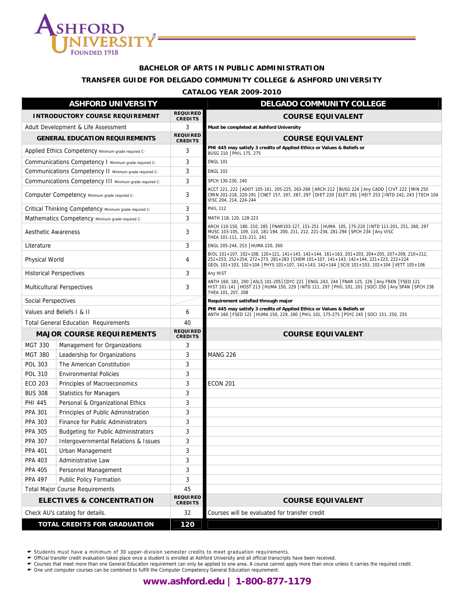

#### **BACHELOR OF ARTS IN PUBLIC ADMINISTRATION**

#### **TRANSFER GUIDE FOR DELGADO COMMUNITY COLLEGE & ASHFORD UNIVERSITY**

#### **CATALOG YEAR 2009-2010**

| <b>ASHFORD UNIVERSITY</b>                    |                                                         |                                   | <b>DELGADO COMMUNITY COLLEGE</b>                                                                                                                                                                                                                                                       |
|----------------------------------------------|---------------------------------------------------------|-----------------------------------|----------------------------------------------------------------------------------------------------------------------------------------------------------------------------------------------------------------------------------------------------------------------------------------|
| <b>INTRODUCTORY COURSE REQUIREMENT</b>       |                                                         | <b>REQUIRED</b><br><b>CREDITS</b> | <b>COURSE EQUIVALENT</b>                                                                                                                                                                                                                                                               |
| Adult Development & Life Assessment          |                                                         | 3                                 | Must be completed at Ashford University                                                                                                                                                                                                                                                |
|                                              | <b>GENERAL EDUCATION REQUIREMENTS</b>                   | <b>REQUIRED</b><br><b>CREDITS</b> | <b>COURSE EQUIVALENT</b>                                                                                                                                                                                                                                                               |
|                                              | Applied Ethics Competency Minimum grade required C-     | 3                                 | PHI 445 may satisfy 3 credits of Applied Ethics or Values & Beliefs or<br>BUSG 210   PHIL 175, 275                                                                                                                                                                                     |
|                                              | Communications Competency I Minimum grade required C-   | 3                                 | <b>ENGL 101</b>                                                                                                                                                                                                                                                                        |
|                                              | Communications Competency II Minimum grade required C-  | 3                                 | <b>ENGL 102</b>                                                                                                                                                                                                                                                                        |
|                                              | Communications Competency III Minimum grade required C- | 3                                 | SPCH 130-230, 240                                                                                                                                                                                                                                                                      |
|                                              | Computer Competency Minimum grade required C-           | 3                                 | ACCT 221, 222   ADOT 105-161, 205-225, 263-268   ARCH 212   BUSG 224   Any CADD   CIVT 222   MIN 250<br>CMIN 201-216, 220-291 CNET 157, 197, 287, 297 DIET 220 ELET 291   HEIT 253   INTD 242, 243   TECH 104<br>VISC 204, 214, 224-244                                                |
|                                              | Critical Thinking Competency Minimum grade required C-  | 3                                 | <b>PHIL 112</b>                                                                                                                                                                                                                                                                        |
|                                              | Mathematics Competency Minimum grade required C-        | 3                                 | MATH 118, 120, 128-223                                                                                                                                                                                                                                                                 |
| Aesthetic Awareness                          |                                                         | 3                                 | ARCH 110-150, 180, 210, 285   FNAR103-127, 151-251   HUMA 105, 175-220   INTD 111-201, 251, 260, 297<br>MUSC 103-105, 109, 110, 181-194, 200, 211, 212, 221-234, 281-294 SPCH 234 Any VISC<br>THEA 101-111, 131-211, 241                                                               |
| Literature                                   |                                                         | 3                                 | ENGL 205-244, 253   HUMA 220, 260                                                                                                                                                                                                                                                      |
| <b>Physical World</b>                        |                                                         | 4                                 | BIOL 101+107, 102+108, 120+121, 141+143, 142+144, 161+163, 201+203, 204+205, 207+209, 210+212,<br>251+253, 252+254, 272+273, 281+283 CHEM 101+107, 141+143, 142+144, 221+223, 222+224<br>GEOL 101+103, 102+104   PHYS 101+107, 141+143, 142+144   SCIE 101+103, 102+104   VETT 105+106 |
| <b>Historical Perspectives</b>               |                                                         | 3                                 | Any HIST                                                                                                                                                                                                                                                                               |
|                                              | <b>Multicultural Perspectives</b>                       | 3                                 | ANTH 160, 181, 200   ASLS 101-205   CDYC 221   ENGL 243, 244   FNAR 125, 126   Any FREN   FSED 121<br>HIST 101-141   HOST 213   HUMA 150, 229   INTD 111, 297   PHIL 101, 201   SOCI 250   Any SPAN   SPCH 236<br>THEA 101, 207, 208                                                   |
| Social Perspectives                          |                                                         |                                   | Requirement satisfied through major                                                                                                                                                                                                                                                    |
|                                              | Values and Beliefs I & II                               | 6                                 | PHI 445 may satisfy 3 credits of Applied Ethics or Values & Beliefs or<br>ANTH 160   FSED 121   HUMA 150, 229, 260   PHIL 101, 175-275   PSYC 245   SOCI 151, 250, 255                                                                                                                 |
|                                              | <b>Total General Education Requirements</b>             | 40                                |                                                                                                                                                                                                                                                                                        |
| <b>MAJOR COURSE REQUIREMENTS</b>             |                                                         | <b>REQUIRED</b><br><b>CREDITS</b> | <b>COURSE EQUIVALENT</b>                                                                                                                                                                                                                                                               |
| <b>MGT 330</b>                               | Management for Organizations                            | 3                                 |                                                                                                                                                                                                                                                                                        |
| <b>MGT 380</b>                               | Leadership for Organizations                            | 3                                 | <b>MANG 226</b>                                                                                                                                                                                                                                                                        |
| <b>POL 303</b>                               | The American Constitution                               | 3                                 |                                                                                                                                                                                                                                                                                        |
| <b>POL 310</b>                               | <b>Environmental Policies</b>                           | 3                                 |                                                                                                                                                                                                                                                                                        |
| ECO 203                                      | Principles of Macroeconomics                            | 3                                 | <b>ECON 201</b>                                                                                                                                                                                                                                                                        |
| <b>BUS 308</b>                               | <b>Statistics for Managers</b>                          | 3                                 |                                                                                                                                                                                                                                                                                        |
| <b>PHI 445</b>                               | Personal & Organizational Ethics                        | 3                                 |                                                                                                                                                                                                                                                                                        |
| <b>PPA 301</b>                               | Principles of Public Administration                     | 3                                 |                                                                                                                                                                                                                                                                                        |
| <b>PPA 303</b>                               | Finance for Public Administrators                       | 3                                 |                                                                                                                                                                                                                                                                                        |
| <b>PPA 305</b>                               | <b>Budgeting for Public Administrators</b>              | 3                                 |                                                                                                                                                                                                                                                                                        |
| PPA 307                                      | Intergovernmental Relations & Issues                    | 3                                 |                                                                                                                                                                                                                                                                                        |
| <b>PPA 401</b>                               | Urban Management                                        | 3                                 |                                                                                                                                                                                                                                                                                        |
| <b>PPA 403</b>                               | Administrative Law                                      | 3                                 |                                                                                                                                                                                                                                                                                        |
| <b>PPA 405</b>                               | Personnel Management                                    | 3                                 |                                                                                                                                                                                                                                                                                        |
| <b>PPA 497</b>                               | Public Policy Formation                                 | 3                                 |                                                                                                                                                                                                                                                                                        |
| <b>Total Major Course Requirements</b><br>45 |                                                         |                                   |                                                                                                                                                                                                                                                                                        |
|                                              | <b>ELECTIVES &amp; CONCENTRATION</b>                    | <b>REQUIRED</b><br><b>CREDITS</b> | <b>COURSE EQUIVALENT</b>                                                                                                                                                                                                                                                               |
|                                              | Check AU's catalog for details.                         | 32                                | Courses will be evaluated for transfer credit                                                                                                                                                                                                                                          |
| <b>TOTAL CREDITS FOR GRADUATION</b>          |                                                         | 120                               |                                                                                                                                                                                                                                                                                        |

← Students must have a minimum of 30 upper-division semester credits to meet graduation requirements.<br>← Official transfer credit evaluation takes place once a student is enrolled at Ashford University and all official tra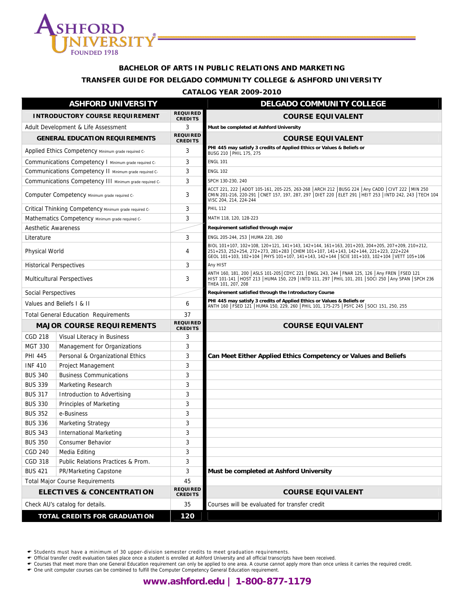

## **BACHELOR OF ARTS IN PUBLIC RELATIONS AND MARKETING TRANSFER GUIDE FOR DELGADO COMMUNITY COLLEGE & ASHFORD UNIVERSITY**

#### **CATALOG YEAR 2009-2010**

| <b>ASHFORD UNIVERSITY</b>              |                                                         |                                   | <b>DELGADO COMMUNITY COLLEGE</b>                                                                                                                                                                                                                                                 |
|----------------------------------------|---------------------------------------------------------|-----------------------------------|----------------------------------------------------------------------------------------------------------------------------------------------------------------------------------------------------------------------------------------------------------------------------------|
| <b>INTRODUCTORY COURSE REQUIREMENT</b> |                                                         | <b>REQUIRED</b><br><b>CREDITS</b> | <b>COURSE EQUIVALENT</b>                                                                                                                                                                                                                                                         |
| Adult Development & Life Assessment    |                                                         | 3                                 | Must be completed at Ashford University                                                                                                                                                                                                                                          |
|                                        | <b>GENERAL EDUCATION REQUIREMENTS</b>                   | <b>REQUIRED</b><br><b>CREDITS</b> | <b>COURSE EQUIVALENT</b>                                                                                                                                                                                                                                                         |
|                                        | Applied Ethics Competency Minimum grade required C-     | 3                                 | PHI 445 may satisfy 3 credits of Applied Ethics or Values & Beliefs or<br>BUSG 210   PHIL 175, 275                                                                                                                                                                               |
|                                        | Communications Competency I Minimum grade required C-   | 3                                 | <b>ENGL 101</b>                                                                                                                                                                                                                                                                  |
|                                        | Communications Competency II Minimum grade required C-  | 3                                 | <b>ENGL 102</b>                                                                                                                                                                                                                                                                  |
|                                        | Communications Competency III Minimum grade required C- | 3                                 | SPCH 130-230, 240                                                                                                                                                                                                                                                                |
|                                        | Computer Competency Minimum grade required C-           | 3                                 | ACCT 221, 222   ADOT 105-161, 205-225, 263-268   ARCH 212   BUSG 224   Any CADD   CIVT 222   MIN 250<br>CMIN 201-216, 220-291   CNET 157, 197, 287, 297   DIET 220   ELET 291   HEIT 253   INTD 242, 243   TECH 104<br>VISC 204, 214, 224-244                                    |
|                                        | Critical Thinking Competency Minimum grade required C-  | 3                                 | <b>PHIL 112</b>                                                                                                                                                                                                                                                                  |
|                                        | Mathematics Competency Minimum grade required C-        | 3                                 | MATH 118, 120, 128-223                                                                                                                                                                                                                                                           |
| <b>Aesthetic Awareness</b>             |                                                         |                                   | Requirement satisfied through major                                                                                                                                                                                                                                              |
| Literature                             |                                                         | 3                                 | ENGL 205-244, 253   HUMA 220, 260                                                                                                                                                                                                                                                |
| Physical World                         |                                                         | 4                                 | BIOL 101+107, 102+108, 120+121, 141+143, 142+144, 161+163, 201+203, 204+205, 207+209, 210+212,<br>251+253, 252+254, 272+273, 281+283 CHEM 101+107, 141+143, 142+144, 221+223, 222+224<br>GEOL 101+103, 102+104 PHYS 101+107, 141+143, 142+144 SCIE 101+103, 102+104 VETT 105+106 |
|                                        | <b>Historical Perspectives</b>                          | 3                                 | Any HIST                                                                                                                                                                                                                                                                         |
| <b>Multicultural Perspectives</b>      |                                                         | 3                                 | ANTH 160, 181, 200   ASLS 101-205  CDYC 221   ENGL 243, 244   FNAR 125, 126   Any FREN   FSED 121<br>HIST 101-141   HOST 213   HUMA 150, 229   INTD 111, 297   PHIL 101, 201   SOCI 250   Any SPAN   SPCH 236<br>THEA 101, 207, 208                                              |
| Social Perspectives                    |                                                         |                                   | Requirement satisfied through the Introductory Course                                                                                                                                                                                                                            |
| Values and Beliefs I & II              |                                                         | 6                                 | PHI 445 may satisfy 3 credits of Applied Ethics or Values & Beliefs or<br>ANTH 160   FSED 121   HUMA 150, 229, 260   PHIL 101, 175-275   PSYC 245   SOCI 151, 250, 255                                                                                                           |
|                                        | <b>Total General Education Requirements</b>             | 37                                |                                                                                                                                                                                                                                                                                  |
|                                        | <b>MAJOR COURSE REQUIREMENTS</b>                        | <b>REQUIRED</b><br><b>CREDITS</b> | <b>COURSE EQUIVALENT</b>                                                                                                                                                                                                                                                         |
| <b>CGD 218</b>                         | Visual Literacy in Business                             | 3                                 |                                                                                                                                                                                                                                                                                  |
| MGT 330                                | Management for Organizations                            | 3                                 |                                                                                                                                                                                                                                                                                  |
| <b>PHI 445</b>                         | Personal & Organizational Ethics                        | 3                                 | Can Meet Either Applied Ethics Competency or Values and Beliefs                                                                                                                                                                                                                  |
| <b>INF 410</b>                         | Project Management                                      | 3                                 |                                                                                                                                                                                                                                                                                  |
| <b>BUS 340</b>                         | <b>Business Communications</b>                          | 3                                 |                                                                                                                                                                                                                                                                                  |
| <b>BUS 339</b>                         | Marketing Research                                      | 3                                 |                                                                                                                                                                                                                                                                                  |
| <b>BUS 317</b>                         | Introduction to Advertising                             | 3                                 |                                                                                                                                                                                                                                                                                  |
| <b>BUS 330</b>                         | Principles of Marketing                                 | 3                                 |                                                                                                                                                                                                                                                                                  |
| <b>BUS 352</b>                         | e-Business                                              | 3                                 |                                                                                                                                                                                                                                                                                  |
| <b>BUS 336</b>                         | <b>Marketing Strategy</b>                               | 3                                 |                                                                                                                                                                                                                                                                                  |
| <b>BUS 343</b>                         | International Marketing                                 | 3                                 |                                                                                                                                                                                                                                                                                  |
| <b>BUS 350</b>                         | Consumer Behavior                                       | 3                                 |                                                                                                                                                                                                                                                                                  |
| <b>CGD 240</b>                         | Media Editing                                           | 3                                 |                                                                                                                                                                                                                                                                                  |
| <b>CGD 318</b>                         | Public Relations Practices & Prom.                      | 3                                 |                                                                                                                                                                                                                                                                                  |
| <b>BUS 421</b>                         | PR/Marketing Capstone                                   | 3                                 | Must be completed at Ashford University                                                                                                                                                                                                                                          |
| <b>Total Major Course Requirements</b> |                                                         | 45                                |                                                                                                                                                                                                                                                                                  |
|                                        | <b>ELECTIVES &amp; CONCENTRATION</b>                    | <b>REQUIRED</b><br><b>CREDITS</b> | <b>COURSE EQUIVALENT</b>                                                                                                                                                                                                                                                         |
|                                        | Check AU's catalog for details.                         | 35                                | Courses will be evaluated for transfer credit                                                                                                                                                                                                                                    |
| <b>TOTAL CREDITS FOR GRADUATION</b>    |                                                         | 120                               |                                                                                                                                                                                                                                                                                  |

← Students must have a minimum of 30 upper-division semester credits to meet graduation requirements.<br>← Official transfer credit evaluation takes place once a student is enrolled at Ashford University and all official tra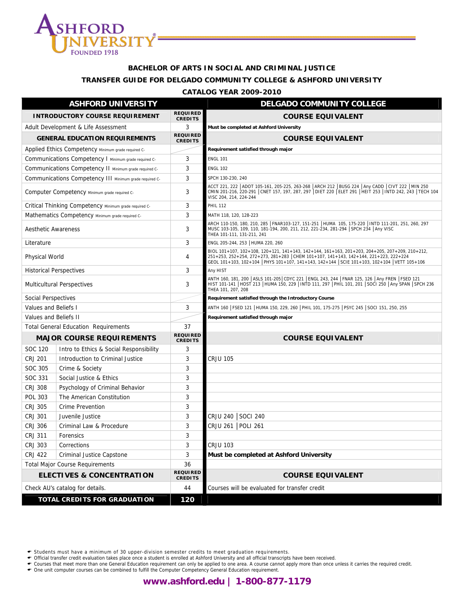

#### **BACHELOR OF ARTS IN SOCIAL AND CRIMINAL JUSTICE**

#### **TRANSFER GUIDE FOR DELGADO COMMUNITY COLLEGE & ASHFORD UNIVERSITY**

#### **CATALOG YEAR 2009-2010**

| <b>ASHFORD UNIVERSITY</b>              |                                                         |                                   | <b>DELGADO COMMUNITY COLLEGE</b>                                                                                                                                                                                                                                                       |
|----------------------------------------|---------------------------------------------------------|-----------------------------------|----------------------------------------------------------------------------------------------------------------------------------------------------------------------------------------------------------------------------------------------------------------------------------------|
|                                        | <b>INTRODUCTORY COURSE REQUIREMENT</b>                  | <b>REQUIRED</b><br><b>CREDITS</b> | <b>COURSE EQUIVALENT</b>                                                                                                                                                                                                                                                               |
| Adult Development & Life Assessment    |                                                         | 3                                 | Must be completed at Ashford University                                                                                                                                                                                                                                                |
|                                        | <b>GENERAL EDUCATION REQUIREMENTS</b>                   | <b>REQUIRED</b><br><b>CREDITS</b> | <b>COURSE EQUIVALENT</b>                                                                                                                                                                                                                                                               |
|                                        | Applied Ethics Competency Minimum grade required C-     |                                   | Requirement satisfied through major                                                                                                                                                                                                                                                    |
|                                        | Communications Competency I Minimum grade required C-   | 3                                 | <b>ENGL 101</b>                                                                                                                                                                                                                                                                        |
|                                        | Communications Competency II Minimum grade required C-  | 3                                 | <b>ENGL 102</b>                                                                                                                                                                                                                                                                        |
|                                        | Communications Competency III Minimum grade required C- | 3                                 | SPCH 130-230, 240                                                                                                                                                                                                                                                                      |
|                                        | Computer Competency Minimum grade required C-           | 3                                 | ACCT 221, 222   ADOT 105-161, 205-225, 263-268   ARCH 212   BUSG 224   Any CADD   CIVT 222   MIN 250<br>CMIN 201-216, 220-291 CNET 157, 197, 287, 297 DIET 220 ELET 291 HEIT 253 INTD 242, 243 TECH 104<br>VISC 204, 214, 224-244                                                      |
|                                        | Critical Thinking Competency Minimum grade required C-  | 3                                 | <b>PHIL 112</b>                                                                                                                                                                                                                                                                        |
|                                        | Mathematics Competency Minimum grade required C-        | 3                                 | MATH 118, 120, 128-223                                                                                                                                                                                                                                                                 |
| <b>Aesthetic Awareness</b>             |                                                         | 3                                 | ARCH 110-150, 180, 210, 285   FNAR103-127, 151-251   HUMA 105, 175-220   INTD 111-201, 251, 260, 297<br>MUSC 103-105, 109, 110, 181-194, 200, 211, 212, 221-234, 281-294 SPCH 234 Any VISC<br>THEA 101-111, 131-211, 241                                                               |
| Literature                             |                                                         | 3                                 | ENGL 205-244, 253   HUMA 220, 260                                                                                                                                                                                                                                                      |
| <b>Physical World</b>                  |                                                         | 4                                 | BIOL 101+107, 102+108, 120+121, 141+143, 142+144, 161+163, 201+203, 204+205, 207+209, 210+212,<br>251+253, 252+254, 272+273, 281+283 CHEM 101+107, 141+143, 142+144, 221+223, 222+224<br>GEOL 101+103, 102+104   PHYS 101+107, 141+143, 142+144   SCIE 101+103, 102+104   VETT 105+106 |
|                                        | <b>Historical Perspectives</b>                          | 3                                 | Any HIST                                                                                                                                                                                                                                                                               |
| <b>Multicultural Perspectives</b>      |                                                         | 3                                 | ANTH 160, 181, 200   ASLS 101-205   CDYC 221   ENGL 243, 244   FNAR 125, 126   Any FREN   FSED 121<br>HIST 101-141   HOST 213   HUMA 150, 229   INTD 111, 297   PHIL 101, 201   SOCI 250   Any SPAN   SPCH 236<br>THEA 101, 207, 208                                                   |
| <b>Social Perspectives</b>             |                                                         |                                   | Requirement satisfied through the Introductory Course                                                                                                                                                                                                                                  |
| Values and Beliefs I                   |                                                         | 3                                 | ANTH 160   FSED 121   HUMA 150, 229, 260   PHIL 101, 175-275   PSYC 245   SOCI 151, 250, 255                                                                                                                                                                                           |
| Values and Beliefs II                  |                                                         |                                   | Requirement satisfied through major                                                                                                                                                                                                                                                    |
|                                        | <b>Total General Education Requirements</b>             | 37                                |                                                                                                                                                                                                                                                                                        |
|                                        | <b>MAJOR COURSE REQUIREMENTS</b>                        | <b>REQUIRED</b><br><b>CREDITS</b> | <b>COURSE EQUIVALENT</b>                                                                                                                                                                                                                                                               |
| SOC 120                                | Intro to Ethics & Social Responsibility                 | 3                                 |                                                                                                                                                                                                                                                                                        |
| <b>CRJ 201</b>                         | Introduction to Criminal Justice                        | 3                                 | <b>CRJU 105</b>                                                                                                                                                                                                                                                                        |
| SOC 305                                | Crime & Society                                         | 3                                 |                                                                                                                                                                                                                                                                                        |
| SOC 331                                | Social Justice & Ethics                                 | 3                                 |                                                                                                                                                                                                                                                                                        |
| <b>CRJ 308</b>                         | Psychology of Criminal Behavior                         | 3                                 |                                                                                                                                                                                                                                                                                        |
| <b>POL 303</b>                         | The American Constitution                               | 3                                 |                                                                                                                                                                                                                                                                                        |
| <b>CRJ 305</b>                         | Crime Prevention                                        | 3                                 |                                                                                                                                                                                                                                                                                        |
| <b>CRJ 301</b>                         | Juvenile Justice                                        | 3                                 | CRJU 240 SOCI 240                                                                                                                                                                                                                                                                      |
| <b>CRJ 306</b>                         | Criminal Law & Procedure                                | 3                                 | CRJU 261   POLI 261                                                                                                                                                                                                                                                                    |
| <b>CRJ 311</b>                         | Forensics                                               | 3                                 |                                                                                                                                                                                                                                                                                        |
| <b>CRJ 303</b>                         | Corrections                                             | 3                                 | <b>CRJU 103</b>                                                                                                                                                                                                                                                                        |
| <b>CRJ 422</b>                         | Criminal Justice Capstone                               | 3                                 | Must be completed at Ashford University                                                                                                                                                                                                                                                |
| <b>Total Major Course Requirements</b> |                                                         | 36                                |                                                                                                                                                                                                                                                                                        |
| <b>ELECTIVES &amp; CONCENTRATION</b>   |                                                         | <b>REQUIRED</b><br><b>CREDITS</b> | <b>COURSE EQUIVALENT</b>                                                                                                                                                                                                                                                               |
|                                        | Check AU's catalog for details.                         | 44                                | Courses will be evaluated for transfer credit                                                                                                                                                                                                                                          |
| <b>TOTAL CREDITS FOR GRADUATION</b>    |                                                         | 120                               |                                                                                                                                                                                                                                                                                        |

← Students must have a minimum of 30 upper-division semester credits to meet graduation requirements.<br>← Official transfer credit evaluation takes place once a student is enrolled at Ashford University and all official tra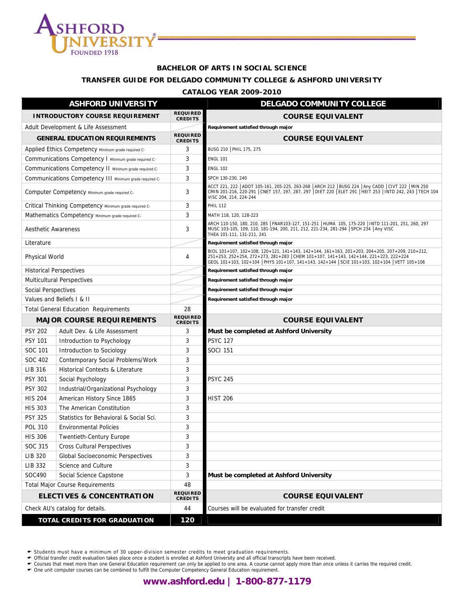

#### **BACHELOR OF ARTS IN SOCIAL SCIENCE**

#### **TRANSFER GUIDE FOR DELGADO COMMUNITY COLLEGE & ASHFORD UNIVERSITY**

#### **CATALOG YEAR 2009-2010**

| <b>ASHFORD UNIVERSITY</b>                    |                                                         |                                   | <b>DELGADO COMMUNITY COLLEGE</b>                                                                                                                                                                                                                                                       |
|----------------------------------------------|---------------------------------------------------------|-----------------------------------|----------------------------------------------------------------------------------------------------------------------------------------------------------------------------------------------------------------------------------------------------------------------------------------|
| <b>INTRODUCTORY COURSE REQUIREMENT</b>       |                                                         | <b>REQUIRED</b><br><b>CREDITS</b> | <b>COURSE EQUIVALENT</b>                                                                                                                                                                                                                                                               |
| Adult Development & Life Assessment          |                                                         |                                   | Requirement satisfied through major                                                                                                                                                                                                                                                    |
|                                              | <b>GENERAL EDUCATION REQUIREMENTS</b>                   | <b>REQUIRED</b><br><b>CREDITS</b> | <b>COURSE EQUIVALENT</b>                                                                                                                                                                                                                                                               |
|                                              | Applied Ethics Competency Minimum grade required C-     | 3                                 | BUSG 210   PHIL 175, 275                                                                                                                                                                                                                                                               |
|                                              | Communications Competency I Minimum grade required C-   | 3                                 | <b>ENGL 101</b>                                                                                                                                                                                                                                                                        |
|                                              | Communications Competency II Minimum grade required C-  | 3                                 | <b>ENGL 102</b>                                                                                                                                                                                                                                                                        |
|                                              | Communications Competency III Minimum grade required C- | 3                                 | SPCH 130-230, 240                                                                                                                                                                                                                                                                      |
|                                              | Computer Competency Minimum grade required C-           | 3                                 | ACCT 221, 222 ADOT 105-161, 205-225, 263-268 ARCH 212 BUSG 224 Any CADD CIVT 222 MIN 250<br>CMIN 201-216, 220-291 CNET 157, 197, 287, 297 DIET 220 ELET 291 HEIT 253   INTD 242, 243   TECH 104<br>VISC 204, 214, 224-244                                                              |
|                                              | Critical Thinking Competency Minimum grade required C-  | 3                                 | <b>PHIL 112</b>                                                                                                                                                                                                                                                                        |
|                                              | Mathematics Competency Minimum grade required C-        | 3                                 | MATH 118, 120, 128-223                                                                                                                                                                                                                                                                 |
| Aesthetic Awareness                          |                                                         | 3                                 | ARCH 110-150, 180, 210, 285   FNAR103-127, 151-251   HUMA 105, 175-220   INTD 111-201, 251, 260, 297<br>MUSC 103-105, 109, 110, 181-194, 200, 211, 212, 221-234, 281-294 SPCH 234 Any VISC<br>THEA 101-111, 131-211, 241                                                               |
| Literature                                   |                                                         |                                   | Requirement satisfied through major                                                                                                                                                                                                                                                    |
| Physical World                               |                                                         | 4                                 | BIOL 101+107, 102+108, 120+121, 141+143, 142+144, 161+163, 201+203, 204+205, 207+209, 210+212,<br>251+253, 252+254, 272+273, 281+283 CHEM 101+107, 141+143, 142+144, 221+223, 222+224<br>GEOL 101+103, 102+104   PHYS 101+107, 141+143, 142+144   SCIE 101+103, 102+104   VETT 105+106 |
| <b>Historical Perspectives</b>               |                                                         |                                   | Requirement satisfied through major                                                                                                                                                                                                                                                    |
|                                              | <b>Multicultural Perspectives</b>                       |                                   | Requirement satisfied through major                                                                                                                                                                                                                                                    |
| Social Perspectives                          |                                                         |                                   | Requirement satisfied through major                                                                                                                                                                                                                                                    |
|                                              | Values and Beliefs I & II                               |                                   | Requirement satisfied through major                                                                                                                                                                                                                                                    |
|                                              | <b>Total General Education Requirements</b>             | 28                                |                                                                                                                                                                                                                                                                                        |
| <b>MAJOR COURSE REQUIREMENTS</b>             |                                                         | <b>REQUIRED</b><br><b>CREDITS</b> | <b>COURSE EQUIVALENT</b>                                                                                                                                                                                                                                                               |
| <b>PSY 202</b>                               | Adult Dev. & Life Assessment                            | 3                                 | Must be completed at Ashford University                                                                                                                                                                                                                                                |
| <b>PSY 101</b>                               | Introduction to Psychology                              | 3                                 | <b>PSYC 127</b>                                                                                                                                                                                                                                                                        |
| SOC 101                                      | Introduction to Sociology                               | 3                                 | <b>SOCI 151</b>                                                                                                                                                                                                                                                                        |
| SOC 402                                      | Contemporary Social Problems/Work                       | 3                                 |                                                                                                                                                                                                                                                                                        |
| LIB 316                                      | <b>Historical Contexts &amp; Literature</b>             | 3                                 |                                                                                                                                                                                                                                                                                        |
| <b>PSY 301</b>                               | Social Psychology                                       | 3                                 | <b>PSYC 245</b>                                                                                                                                                                                                                                                                        |
| <b>PSY 302</b>                               | Industrial/Organizational Psychology                    | 3                                 |                                                                                                                                                                                                                                                                                        |
| <b>HIS 204</b>                               | American History Since 1865                             | 3                                 | <b>HIST 206</b>                                                                                                                                                                                                                                                                        |
| <b>HIS 303</b>                               | The American Constitution                               | 3                                 |                                                                                                                                                                                                                                                                                        |
| <b>PSY 325</b>                               | Statistics for Behavioral & Social Sci.                 | 3                                 |                                                                                                                                                                                                                                                                                        |
| <b>POL 310</b>                               | <b>Environmental Policies</b>                           | 3                                 |                                                                                                                                                                                                                                                                                        |
| <b>HIS 306</b>                               | <b>Twentieth-Century Europe</b>                         | ς                                 |                                                                                                                                                                                                                                                                                        |
| SOC 315                                      | <b>Cross Cultural Perspectives</b>                      | 3                                 |                                                                                                                                                                                                                                                                                        |
| LIB 320                                      | Global Socioeconomic Perspectives                       | 3                                 |                                                                                                                                                                                                                                                                                        |
| LIB 332                                      | Science and Culture                                     | 3                                 |                                                                                                                                                                                                                                                                                        |
| SOC490                                       | Social Science Capstone                                 | 3                                 | Must be completed at Ashford University                                                                                                                                                                                                                                                |
| 48<br><b>Total Major Course Requirements</b> |                                                         |                                   |                                                                                                                                                                                                                                                                                        |
|                                              | <b>ELECTIVES &amp; CONCENTRATION</b>                    | <b>REQUIRED</b><br><b>CREDITS</b> | <b>COURSE EQUIVALENT</b>                                                                                                                                                                                                                                                               |
|                                              | Check AU's catalog for details.                         | 44                                | Courses will be evaluated for transfer credit                                                                                                                                                                                                                                          |
| <b>TOTAL CREDITS FOR GRADUATION</b>          |                                                         | 120                               |                                                                                                                                                                                                                                                                                        |

← Students must have a minimum of 30 upper-division semester credits to meet graduation requirements.<br>← Official transfer credit evaluation takes place once a student is enrolled at Ashford University and all official tra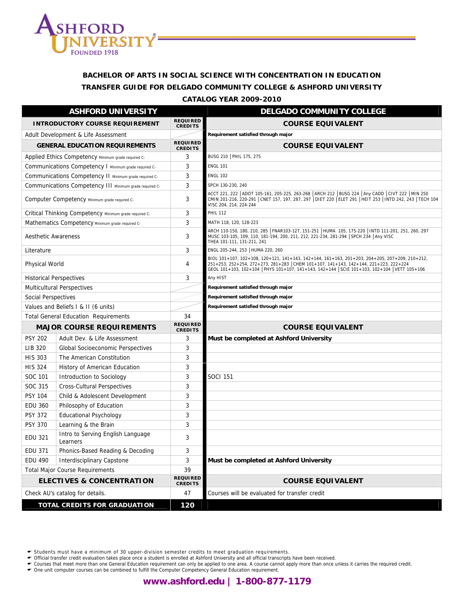

# **BACHELOR OF ARTS IN SOCIAL SCIENCE WITH CONCENTRATION IN EDUCATION TRANSFER GUIDE FOR DELGADO COMMUNITY COLLEGE & ASHFORD UNIVERSITY**

**CATALOG YEAR 2009-2010**

| <b>ASHFORD UNIVERSITY</b>              |                                                         |                                   | <b>DELGADO COMMUNITY COLLEGE</b>                                                                                                                                                                                                                                                 |
|----------------------------------------|---------------------------------------------------------|-----------------------------------|----------------------------------------------------------------------------------------------------------------------------------------------------------------------------------------------------------------------------------------------------------------------------------|
| <b>INTRODUCTORY COURSE REQUIREMENT</b> |                                                         | <b>REQUIRED</b><br><b>CREDITS</b> | <b>COURSE EQUIVALENT</b>                                                                                                                                                                                                                                                         |
| Adult Development & Life Assessment    |                                                         |                                   | Requirement satisfied through major                                                                                                                                                                                                                                              |
|                                        | <b>GENERAL EDUCATION REQUIREMENTS</b>                   | <b>REQUIRED</b><br><b>CREDITS</b> | <b>COURSE EQUIVALENT</b>                                                                                                                                                                                                                                                         |
|                                        | Applied Ethics Competency Minimum grade required C-     | 3                                 | BUSG 210   PHIL 175, 275                                                                                                                                                                                                                                                         |
|                                        | Communications Competency   Minimum grade required C-   | 3                                 | <b>ENGL 101</b>                                                                                                                                                                                                                                                                  |
|                                        | Communications Competency II Minimum grade required C-  | 3                                 | <b>ENGL 102</b>                                                                                                                                                                                                                                                                  |
|                                        | Communications Competency III Minimum grade required C- | 3                                 | SPCH 130-230, 240                                                                                                                                                                                                                                                                |
|                                        | Computer Competency Minimum grade required C-           | 3                                 | ACCT 221, 222   ADOT 105-161, 205-225, 263-268   ARCH 212   BUSG 224   Any CADD   CIVT 222   MIN 250<br>CMIN 201-216, 220-291   CNET 157, 197, 287, 297   DIET 220   ELET 291   HEIT 253   INTD 242, 243   TECH 104<br>VISC 204, 214, 224-244                                    |
|                                        | Critical Thinking Competency Minimum grade required C-  | 3                                 | <b>PHIL 112</b>                                                                                                                                                                                                                                                                  |
|                                        | Mathematics Competency Minimum grade required C-        | 3                                 | MATH 118, 120, 128-223                                                                                                                                                                                                                                                           |
| <b>Aesthetic Awareness</b>             |                                                         | 3                                 | ARCH 110-150, 180, 210, 285  FNAR103-127, 151-251  HUMA  105, 175-220  INTD 111-201, 251, 260, 297<br>MUSC 103-105, 109, 110, 181-194, 200, 211, 212, 221-234, 281-294 SPCH 234 Any VISC<br>THEA 101-111, 131-211, 241                                                           |
| Literature                             |                                                         | 3                                 | ENGL 205-244, 253 HUMA 220, 260                                                                                                                                                                                                                                                  |
| Physical World                         |                                                         | 4                                 | BIOL 101+107, 102+108, 120+121, 141+143, 142+144, 161+163, 201+203, 204+205, 207+209, 210+212,<br>251+253, 252+254, 272+273, 281+283 CHEM 101+107, 141+143, 142+144, 221+223, 222+224<br>GEOL 101+103, 102+104 PHYS 101+107, 141+143, 142+144 SCIE 101+103, 102+104 VETT 105+106 |
|                                        | <b>Historical Perspectives</b>                          | 3                                 | Any HIST                                                                                                                                                                                                                                                                         |
| <b>Multicultural Perspectives</b>      |                                                         |                                   | Requirement satisfied through major                                                                                                                                                                                                                                              |
| <b>Social Perspectives</b>             |                                                         |                                   | Requirement satisfied through major                                                                                                                                                                                                                                              |
|                                        | Values and Beliefs I & II (6 units)                     |                                   | Requirement satisfied through major                                                                                                                                                                                                                                              |
|                                        | <b>Total General Education Requirements</b>             | 34                                |                                                                                                                                                                                                                                                                                  |
| <b>MAJOR COURSE REQUIREMENTS</b>       |                                                         | <b>REQUIRED</b><br><b>CREDITS</b> | <b>COURSE EQUIVALENT</b>                                                                                                                                                                                                                                                         |
| <b>PSY 202</b>                         | Adult Dev. & Life Assessment                            | 3                                 | Must be completed at Ashford University                                                                                                                                                                                                                                          |
| LIB 320                                | Global Socioeconomic Perspectives                       | 3                                 |                                                                                                                                                                                                                                                                                  |
| <b>HIS 303</b>                         | The American Constitution                               | 3                                 |                                                                                                                                                                                                                                                                                  |
| <b>HIS 324</b>                         | History of American Education                           | 3                                 |                                                                                                                                                                                                                                                                                  |
| SOC 101                                | Introduction to Sociology                               | 3                                 | SOCI 151                                                                                                                                                                                                                                                                         |
| SOC 315                                | <b>Cross-Cultural Perspectives</b>                      | 3                                 |                                                                                                                                                                                                                                                                                  |
| <b>PSY 104</b>                         | Child & Adolescent Development                          | 3                                 |                                                                                                                                                                                                                                                                                  |
| <b>EDU 360</b>                         | Philosophy of Education                                 | 3                                 |                                                                                                                                                                                                                                                                                  |
| <b>PSY 372</b>                         | <b>Educational Psychology</b>                           | 3                                 |                                                                                                                                                                                                                                                                                  |
| <b>PSY 370</b>                         | Learning & the Brain                                    | 3                                 |                                                                                                                                                                                                                                                                                  |
| <b>EDU 321</b>                         | Intro to Serving English Language<br>Learners           | 3                                 |                                                                                                                                                                                                                                                                                  |
| <b>EDU 371</b>                         | Phonics-Based Reading & Decoding                        | 3                                 |                                                                                                                                                                                                                                                                                  |
| <b>EDU 490</b>                         | Interdisciplinary Capstone                              | 3                                 | Must be completed at Ashford University                                                                                                                                                                                                                                          |
| <b>Total Major Course Requirements</b> |                                                         | 39                                |                                                                                                                                                                                                                                                                                  |
| <b>ELECTIVES &amp; CONCENTRATION</b>   |                                                         | <b>REQUIRED</b><br><b>CREDITS</b> | <b>COURSE EQUIVALENT</b>                                                                                                                                                                                                                                                         |
|                                        | Check AU's catalog for details.                         | 47                                | Courses will be evaluated for transfer credit                                                                                                                                                                                                                                    |
| <b>TOTAL CREDITS FOR GRADUATION</b>    |                                                         | 120                               |                                                                                                                                                                                                                                                                                  |

← Students must have a minimum of 30 upper-division semester credits to meet graduation requirements.<br>← Official transfer credit evaluation takes place once a student is enrolled at Ashford University and all official tra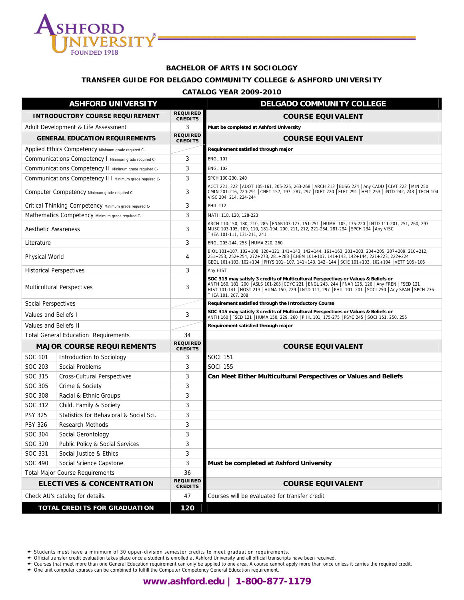

#### **BACHELOR OF ARTS IN SOCIOLOGY**

#### **TRANSFER GUIDE FOR DELGADO COMMUNITY COLLEGE & ASHFORD UNIVERSITY**

#### **CATALOG YEAR 2009-2010**

| <b>ASHFORD UNIVERSITY</b>              |                                                         |                                   | <b>DELGADO COMMUNITY COLLEGE</b>                                                                                                                                                                                                                                                                                   |
|----------------------------------------|---------------------------------------------------------|-----------------------------------|--------------------------------------------------------------------------------------------------------------------------------------------------------------------------------------------------------------------------------------------------------------------------------------------------------------------|
| <b>INTRODUCTORY COURSE REQUIREMENT</b> |                                                         | <b>REQUIRED</b><br><b>CREDITS</b> | <b>COURSE EQUIVALENT</b>                                                                                                                                                                                                                                                                                           |
| Adult Development & Life Assessment    |                                                         | 3                                 | Must be completed at Ashford University                                                                                                                                                                                                                                                                            |
|                                        | <b>GENERAL EDUCATION REQUIREMENTS</b>                   | <b>REQUIRED</b><br><b>CREDITS</b> | <b>COURSE EQUIVALENT</b>                                                                                                                                                                                                                                                                                           |
|                                        | Applied Ethics Competency Minimum grade required C-     |                                   | Requirement satisfied through major                                                                                                                                                                                                                                                                                |
|                                        | Communications Competency I Minimum grade required C-   | 3                                 | <b>ENGL 101</b>                                                                                                                                                                                                                                                                                                    |
|                                        | Communications Competency II Minimum grade required C-  | 3                                 | <b>ENGL 102</b>                                                                                                                                                                                                                                                                                                    |
|                                        | Communications Competency III Minimum grade required C- | 3                                 | SPCH 130-230, 240                                                                                                                                                                                                                                                                                                  |
|                                        | Computer Competency Minimum grade required C-           | 3                                 | ACCT 221, 222   ADOT 105-161, 205-225, 263-268   ARCH 212   BUSG 224   Any CADD   CIVT 222   MIN 250<br>CMIN 201-216, 220-291   CNET 157, 197, 287, 297   DIET 220   ELET 291   HEIT 253   INTD 242, 243   TECH 104<br>VISC 204, 214, 224-244                                                                      |
|                                        | Critical Thinking Competency Minimum grade required C-  | 3                                 | <b>PHIL 112</b>                                                                                                                                                                                                                                                                                                    |
|                                        | Mathematics Competency Minimum grade required C-        | 3                                 | MATH 118, 120, 128-223                                                                                                                                                                                                                                                                                             |
| <b>Aesthetic Awareness</b>             |                                                         | 3                                 | ARCH 110-150, 180, 210, 285   FNAR103-127, 151-251   HUMA 105, 175-220   INTD 111-201, 251, 260, 297<br>MUSC 103-105, 109, 110, 181-194, 200, 211, 212, 221-234, 281-294 SPCH 234 Any VISC<br>THEA 101-111, 131-211, 241                                                                                           |
| Literature                             |                                                         | 3                                 | ENGL 205-244, 253 HUMA 220, 260                                                                                                                                                                                                                                                                                    |
| Physical World                         |                                                         | 4                                 | BIOL 101+107, 102+108, 120+121, 141+143, 142+144, 161+163, 201+203, 204+205, 207+209, 210+212,<br>251+253, 252+254, 272+273, 281+283 CHEM 101+107, 141+143, 142+144, 221+223, 222+224<br>GEOL 101+103, 102+104 PHYS 101+107, 141+143, 142+144 SCIE 101+103, 102+104 VETT 105+106                                   |
|                                        | <b>Historical Perspectives</b>                          | 3                                 | Any HIST                                                                                                                                                                                                                                                                                                           |
| <b>Multicultural Perspectives</b>      |                                                         | 3                                 | SOC 315 may satisfy 3 credits of Multicultural Perspectives or Values & Beliefs or<br>ANTH 160, 181, 200 ASLS 101-205 CDYC 221   ENGL 243, 244   FNAR 125, 126   Any FREN   FSED 121<br>HIST 101-141 HOST 213 HUMA 150, 229   INTD 111, 297   PHIL 101, 201   SOCI 250   Any SPAN   SPCH 236<br>THEA 101, 207, 208 |
| Social Perspectives                    |                                                         |                                   | Requirement satisfied through the Introductory Course                                                                                                                                                                                                                                                              |
| Values and Beliefs I                   |                                                         | 3                                 | SOC 315 may satisfy 3 credits of Multicultural Perspectives or Values & Beliefs or<br>ANTH 160   FSED 121   HUMA 150, 229, 260   PHIL 101, 175-275   PSYC 245   SOCI 151, 250, 255                                                                                                                                 |
| Values and Beliefs II                  |                                                         |                                   | Requirement satisfied through major                                                                                                                                                                                                                                                                                |
|                                        | <b>Total General Education Requirements</b>             | 34                                |                                                                                                                                                                                                                                                                                                                    |
|                                        | <b>MAJOR COURSE REQUIREMENTS</b>                        | <b>REQUIRED</b><br><b>CREDITS</b> | <b>COURSE EQUIVALENT</b>                                                                                                                                                                                                                                                                                           |
| SOC 101                                | Introduction to Sociology                               | 3                                 | SOCI 151                                                                                                                                                                                                                                                                                                           |
| <b>SOC 203</b>                         | Social Problems                                         | 3                                 | SOCI 155                                                                                                                                                                                                                                                                                                           |
| SOC 315                                | <b>Cross-Cultural Perspectives</b>                      | 3                                 | Can Meet Either Multicultural Perspectives or Values and Beliefs                                                                                                                                                                                                                                                   |
| SOC 305                                | Crime & Society                                         | 3                                 |                                                                                                                                                                                                                                                                                                                    |
| <b>SOC 308</b>                         | Racial & Ethnic Groups                                  | 3                                 |                                                                                                                                                                                                                                                                                                                    |
| SOC 312                                | Child, Family & Society                                 | 3                                 |                                                                                                                                                                                                                                                                                                                    |
| <b>PSY 325</b>                         | Statistics for Behavioral & Social Sci.                 | 3                                 |                                                                                                                                                                                                                                                                                                                    |
| <b>PSY 326</b>                         | Research Methods                                        | 3                                 |                                                                                                                                                                                                                                                                                                                    |
| SOC 304                                | Social Gerontology                                      | 3                                 |                                                                                                                                                                                                                                                                                                                    |
| SOC 320                                | Public Policy & Social Services                         | 3                                 |                                                                                                                                                                                                                                                                                                                    |
| SOC 331                                | Social Justice & Ethics                                 | 3                                 |                                                                                                                                                                                                                                                                                                                    |
| SOC 490                                | Social Science Capstone                                 | 3                                 | Must be completed at Ashford University                                                                                                                                                                                                                                                                            |
| <b>Total Major Course Requirements</b> |                                                         | 36                                |                                                                                                                                                                                                                                                                                                                    |
|                                        | <b>ELECTIVES &amp; CONCENTRATION</b>                    | <b>REQUIRED</b><br><b>CREDITS</b> | <b>COURSE EQUIVALENT</b>                                                                                                                                                                                                                                                                                           |
|                                        | Check AU's catalog for details.                         | 47                                | Courses will be evaluated for transfer credit                                                                                                                                                                                                                                                                      |
| TOTAL CREDITS FOR GRADUATION           |                                                         | 120                               |                                                                                                                                                                                                                                                                                                                    |

← Students must have a minimum of 30 upper-division semester credits to meet graduation requirements.<br>← Official transfer credit evaluation takes place once a student is enrolled at Ashford University and all official tra